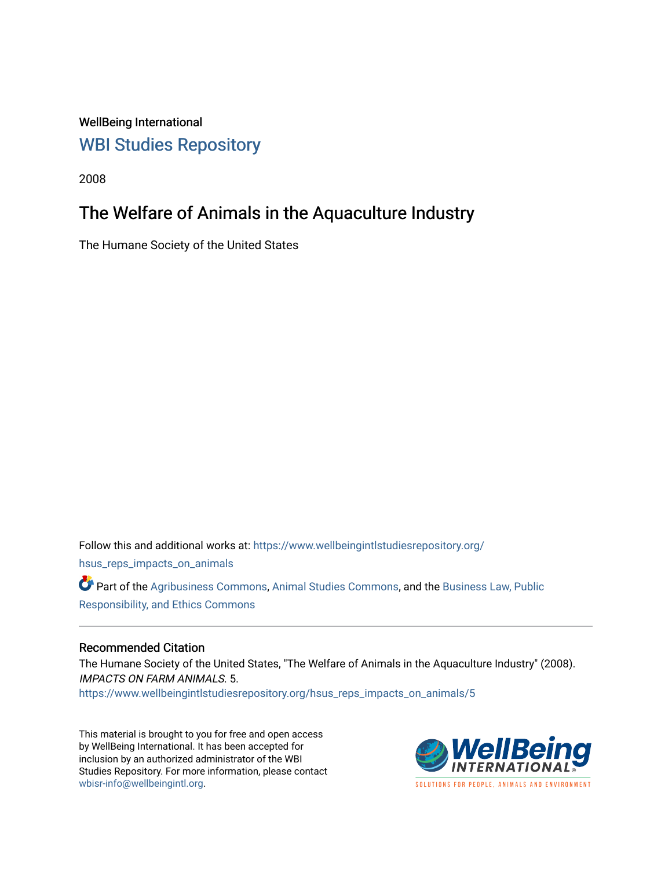WellBeing International [WBI Studies Repository](https://www.wellbeingintlstudiesrepository.org/)

2008

# The Welfare of Animals in the Aquaculture Industry

The Humane Society of the United States

Follow this and additional works at: [https://www.wellbeingintlstudiesrepository.org/](https://www.wellbeingintlstudiesrepository.org/hsus_reps_impacts_on_animals?utm_source=www.wellbeingintlstudiesrepository.org%2Fhsus_reps_impacts_on_animals%2F5&utm_medium=PDF&utm_campaign=PDFCoverPages) [hsus\\_reps\\_impacts\\_on\\_animals](https://www.wellbeingintlstudiesrepository.org/hsus_reps_impacts_on_animals?utm_source=www.wellbeingintlstudiesrepository.org%2Fhsus_reps_impacts_on_animals%2F5&utm_medium=PDF&utm_campaign=PDFCoverPages)  Part of the [Agribusiness Commons,](http://network.bepress.com/hgg/discipline/1051?utm_source=www.wellbeingintlstudiesrepository.org%2Fhsus_reps_impacts_on_animals%2F5&utm_medium=PDF&utm_campaign=PDFCoverPages) [Animal Studies Commons](http://network.bepress.com/hgg/discipline/1306?utm_source=www.wellbeingintlstudiesrepository.org%2Fhsus_reps_impacts_on_animals%2F5&utm_medium=PDF&utm_campaign=PDFCoverPages), and the [Business Law, Public](http://network.bepress.com/hgg/discipline/628?utm_source=www.wellbeingintlstudiesrepository.org%2Fhsus_reps_impacts_on_animals%2F5&utm_medium=PDF&utm_campaign=PDFCoverPages) [Responsibility, and Ethics Commons](http://network.bepress.com/hgg/discipline/628?utm_source=www.wellbeingintlstudiesrepository.org%2Fhsus_reps_impacts_on_animals%2F5&utm_medium=PDF&utm_campaign=PDFCoverPages) 

#### Recommended Citation

The Humane Society of the United States, "The Welfare of Animals in the Aquaculture Industry" (2008). IMPACTS ON FARM ANIMALS. 5.

[https://www.wellbeingintlstudiesrepository.org/hsus\\_reps\\_impacts\\_on\\_animals/5](https://www.wellbeingintlstudiesrepository.org/hsus_reps_impacts_on_animals/5?utm_source=www.wellbeingintlstudiesrepository.org%2Fhsus_reps_impacts_on_animals%2F5&utm_medium=PDF&utm_campaign=PDFCoverPages)

This material is brought to you for free and open access by WellBeing International. It has been accepted for inclusion by an authorized administrator of the WBI Studies Repository. For more information, please contact [wbisr-info@wellbeingintl.org](mailto:wbisr-info@wellbeingintl.org).



**SOLUTIONS FOR PEOPLE. ANIMALS AND ENVIRONMENT**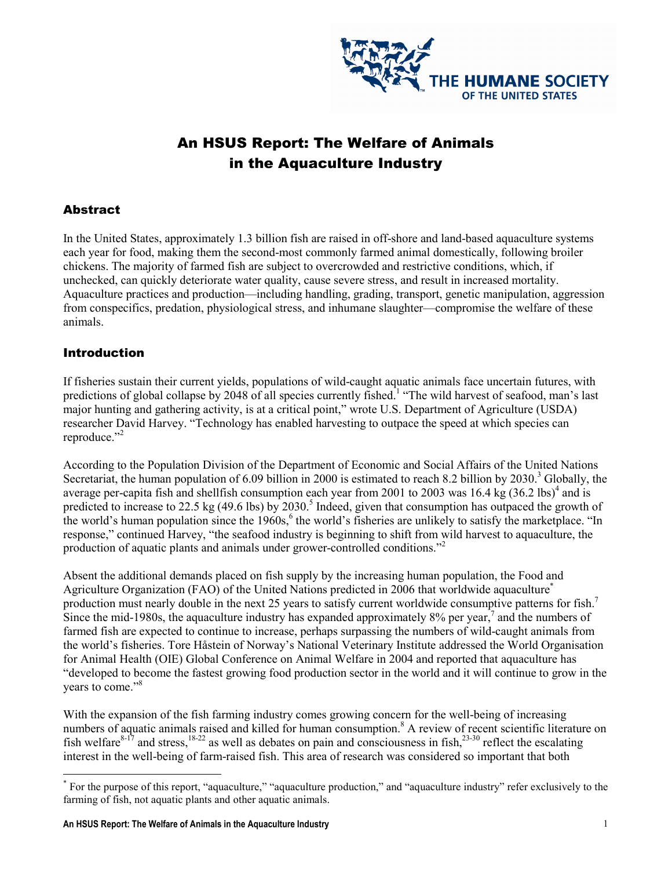

# An HSUS Report: The Welfare of Animals in the Aquaculture Industry

## **Abstract**

In the United States, approximately 1.3 billion fish are raised in off-shore and land-based aquaculture systems each year for food, making them the second-most commonly farmed animal domestically, following broiler chickens. The majority of farmed fish are subject to overcrowded and restrictive conditions, which, if unchecked, can quickly deteriorate water quality, cause severe stress, and result in increased mortality. Aquaculture practices and production—including handling, grading, transport, genetic manipulation, aggression from conspecifics, predation, physiological stress, and inhumane slaughter—compromise the welfare of these animals.

### Introduction

If fisheries sustain their current yields, populations of wild-caught aquatic animals face uncertain futures, with predictions of global collapse by 2048 of all species currently fished.<sup>1</sup> "The wild harvest of seafood, man's last major hunting and gathering activity, is at a critical point," wrote U.S. Department of Agriculture (USDA) researcher David Harvey. "Technology has enabled harvesting to outpace the speed at which species can reproduce."<sup>2</sup>

According to the Population Division of the Department of Economic and Social Affairs of the United Nations Secretariat, the human population of 6.09 billion in 2000 is estimated to reach 8.2 billion by 2030.<sup>3</sup> Globally, the average per-capita fish and shellfish consumption each year from 2001 to 2003 was  $16.4 \text{ kg}$  (36.2 lbs)<sup>4</sup> and is predicted to increase to 22.5 kg (49.6 lbs) by 2030.<sup>5</sup> Indeed, given that consumption has outpaced the growth of the world's human population since the  $1960s$ ,  $6$  the world's fisheries are unlikely to satisfy the marketplace. "In response," continued Harvey, "the seafood industry is beginning to shift from wild harvest to aquaculture, the production of aquatic plants and animals under grower-controlled conditions."<sup>2</sup>

Absent the additional demands placed on fish supply by the increasing human population, the Food and Agriculture Organization (FAO) of the United Nations predicted in 2006 that worldwide aquaculture\* production must nearly double in the next 25 years to satisfy current worldwide consumptive patterns for fish.<sup>7</sup> Since the mid-1980s, the aquaculture industry has expanded approximately 8% per year, $\frac{7}{3}$  and the numbers of farmed fish are expected to continue to increase, perhaps surpassing the numbers of wild-caught animals from the world's fisheries. Tore Håstein of Norway's National Veterinary Institute addressed the World Organisation for Animal Health (OIE) Global Conference on Animal Welfare in 2004 and reported that aquaculture has "developed to become the fastest growing food production sector in the world and it will continue to grow in the years to come."<sup>8</sup>

With the expansion of the fish farming industry comes growing concern for the well-being of increasing numbers of aquatic animals raised and killed for human consumption.<sup>8</sup> A review of recent scientific literature on fish welfare<sup>8-17</sup> and stress,<sup>18-22</sup> as well as debates on pain and consciousness in fish,<sup>23-30</sup> reflect the escalating interest in the well-being of farm-raised fish. This area of research was considered so important that both

 $\overline{a}$ \* For the purpose of this report, "aquaculture," "aquaculture production," and "aquaculture industry" refer exclusively to the farming of fish, not aquatic plants and other aquatic animals.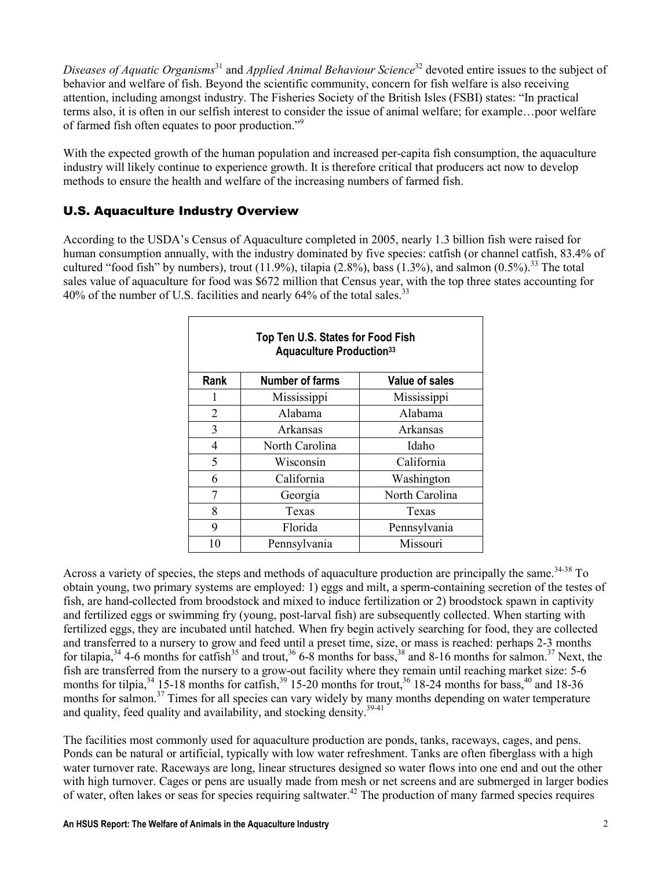Diseases of Aquatic Organisms<sup>31</sup> and Applied Animal Behaviour Science<sup>32</sup> devoted entire issues to the subject of behavior and welfare of fish. Beyond the scientific community, concern for fish welfare is also receiving attention, including amongst industry. The Fisheries Society of the British Isles (FSBI) states: "In practical terms also, it is often in our selfish interest to consider the issue of animal welfare; for example…poor welfare of farmed fish often equates to poor production."<sup>9</sup>

With the expected growth of the human population and increased per-capita fish consumption, the aquaculture industry will likely continue to experience growth. It is therefore critical that producers act now to develop methods to ensure the health and welfare of the increasing numbers of farmed fish.

# U.S. Aquaculture Industry Overview

According to the USDA's Census of Aquaculture completed in 2005, nearly 1.3 billion fish were raised for human consumption annually, with the industry dominated by five species: catfish (or channel catfish, 83.4% of cultured "food fish" by numbers), trout (11.9%), tilapia (2.8%), bass (1.3%), and salmon (0.5%).<sup>33</sup> The total sales value of aquaculture for food was \$672 million that Census year, with the top three states accounting for 40% of the number of U.S. facilities and nearly 64% of the total sales.<sup>33</sup>

| Top Ten U.S. States for Food Fish<br><b>Aquaculture Production</b> 33 |                        |                       |
|-----------------------------------------------------------------------|------------------------|-----------------------|
| Rank                                                                  | <b>Number of farms</b> | <b>Value of sales</b> |
| 1                                                                     | Mississippi            | Mississippi           |
| 2                                                                     | Alabama                | Alabama               |
| 3                                                                     | Arkansas               | Arkansas              |
| 4                                                                     | North Carolina         | Idaho                 |
| 5                                                                     | Wisconsin              | California            |
| 6                                                                     | California             | Washington            |
| 7                                                                     | Georgia                | North Carolina        |
| 8                                                                     | Texas                  | Texas                 |
| 9                                                                     | Florida                | Pennsylvania          |
| 10                                                                    | Pennsylvania           | Missouri              |

Across a variety of species, the steps and methods of aquaculture production are principally the same.<sup>34-38</sup> To obtain young, two primary systems are employed: 1) eggs and milt, a sperm-containing secretion of the testes of fish, are hand-collected from broodstock and mixed to induce fertilization or 2) broodstock spawn in captivity and fertilized eggs or swimming fry (young, post-larval fish) are subsequently collected. When starting with fertilized eggs, they are incubated until hatched. When fry begin actively searching for food, they are collected and transferred to a nursery to grow and feed until a preset time, size, or mass is reached: perhaps 2-3 months for tilapia,  $34$  4-6 months for catfish  $35$  and trout,  $36$  6-8 months for bass,  $38$  and 8-16 months for salmon.<sup>37</sup> Next, the fish are transferred from the nursery to a grow-out facility where they remain until reaching market size: 5-6 months for tilpia,  $34$  15-18 months for catfish,  $39$  15-20 months for trout,  $36$  18-24 months for bass,  $40$  and 18-36 months for salmon.<sup>37</sup> Times for all species can vary widely by many months depending on water temperature and quality, feed quality and availability, and stocking density.  $39-41$ 

The facilities most commonly used for aquaculture production are ponds, tanks, raceways, cages, and pens. Ponds can be natural or artificial, typically with low water refreshment. Tanks are often fiberglass with a high water turnover rate. Raceways are long, linear structures designed so water flows into one end and out the other with high turnover. Cages or pens are usually made from mesh or net screens and are submerged in larger bodies of water, often lakes or seas for species requiring saltwater.<sup>42</sup> The production of many farmed species requires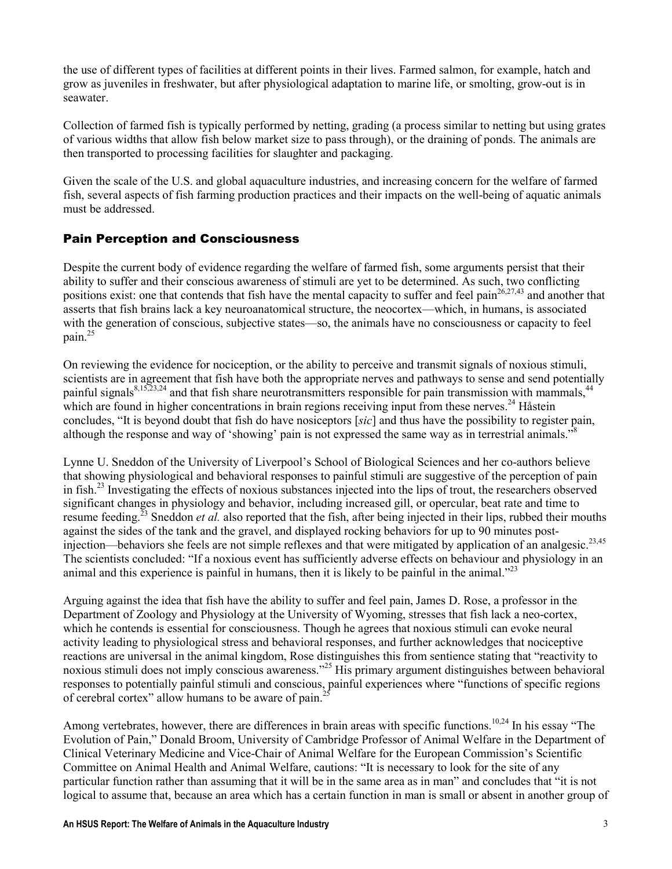the use of different types of facilities at different points in their lives. Farmed salmon, for example, hatch and grow as juveniles in freshwater, but after physiological adaptation to marine life, or smolting, grow-out is in seawater.

Collection of farmed fish is typically performed by netting, grading (a process similar to netting but using grates of various widths that allow fish below market size to pass through), or the draining of ponds. The animals are then transported to processing facilities for slaughter and packaging.

Given the scale of the U.S. and global aquaculture industries, and increasing concern for the welfare of farmed fish, several aspects of fish farming production practices and their impacts on the well-being of aquatic animals must be addressed.

# Pain Perception and Consciousness

Despite the current body of evidence regarding the welfare of farmed fish, some arguments persist that their ability to suffer and their conscious awareness of stimuli are yet to be determined. As such, two conflicting positions exist: one that contends that fish have the mental capacity to suffer and feel pain $26,27,43$  and another that asserts that fish brains lack a key neuroanatomical structure, the neocortex—which, in humans, is associated with the generation of conscious, subjective states—so, the animals have no consciousness or capacity to feel pain. $^{25}$ 

On reviewing the evidence for nociception, or the ability to perceive and transmit signals of noxious stimuli, scientists are in agreement that fish have both the appropriate nerves and pathways to sense and send potentially painful signals $8,15,23,24$  and that fish share neurotransmitters responsible for pain transmission with mammals,  $44$ which are found in higher concentrations in brain regions receiving input from these nerves.<sup>24</sup> Håstein concludes, "It is beyond doubt that fish do have nosiceptors [sic] and thus have the possibility to register pain, although the response and way of 'showing' pain is not expressed the same way as in terrestrial animals."<sup>8</sup>

Lynne U. Sneddon of the University of Liverpool's School of Biological Sciences and her co-authors believe that showing physiological and behavioral responses to painful stimuli are suggestive of the perception of pain in fish.<sup>23</sup> Investigating the effects of noxious substances injected into the lips of trout, the researchers observed significant changes in physiology and behavior, including increased gill, or opercular, beat rate and time to resume feeding.<sup>23</sup> Sneddon *et al.* also reported that the fish, after being injected in their lips, rubbed their mouths against the sides of the tank and the gravel, and displayed rocking behaviors for up to 90 minutes postinjection—behaviors she feels are not simple reflexes and that were mitigated by application of an analgesic.<sup>23,45</sup> The scientists concluded: "If a noxious event has sufficiently adverse effects on behaviour and physiology in an animal and this experience is painful in humans, then it is likely to be painful in the animal."<sup>23</sup>

Arguing against the idea that fish have the ability to suffer and feel pain, James D. Rose, a professor in the Department of Zoology and Physiology at the University of Wyoming, stresses that fish lack a neo-cortex, which he contends is essential for consciousness. Though he agrees that noxious stimuli can evoke neural activity leading to physiological stress and behavioral responses, and further acknowledges that nociceptive reactions are universal in the animal kingdom, Rose distinguishes this from sentience stating that "reactivity to noxious stimuli does not imply conscious awareness."<sup>25</sup> His primary argument distinguishes between behavioral responses to potentially painful stimuli and conscious, painful experiences where "functions of specific regions of cerebral cortex" allow humans to be aware of pain.<sup>2</sup>

Among vertebrates, however, there are differences in brain areas with specific functions.<sup>10,24</sup> In his essay "The Evolution of Pain," Donald Broom, University of Cambridge Professor of Animal Welfare in the Department of Clinical Veterinary Medicine and Vice-Chair of Animal Welfare for the European Commission's Scientific Committee on Animal Health and Animal Welfare, cautions: "It is necessary to look for the site of any particular function rather than assuming that it will be in the same area as in man" and concludes that "it is not logical to assume that, because an area which has a certain function in man is small or absent in another group of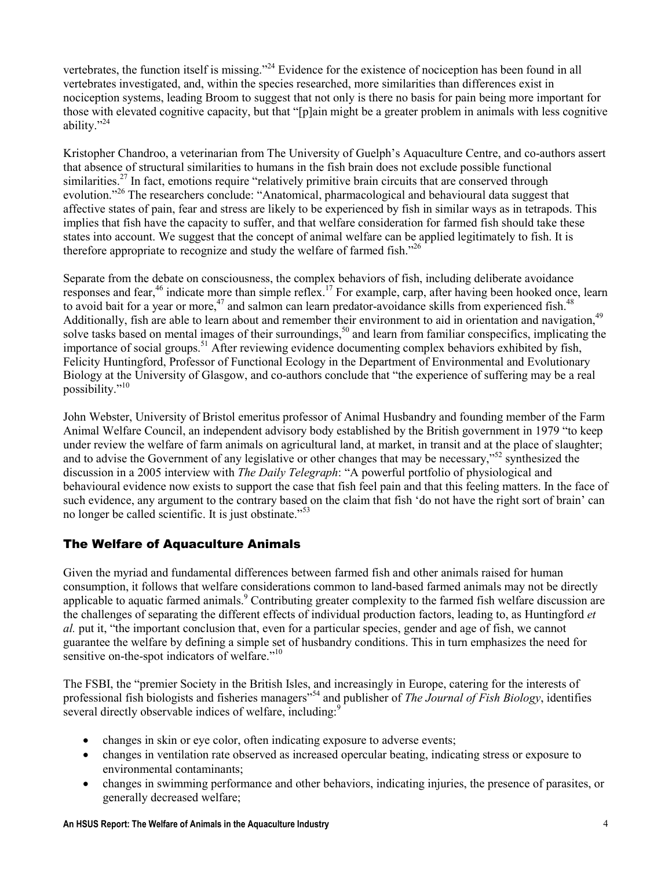vertebrates, the function itself is missing."<sup>24</sup> Evidence for the existence of nociception has been found in all vertebrates investigated, and, within the species researched, more similarities than differences exist in nociception systems, leading Broom to suggest that not only is there no basis for pain being more important for those with elevated cognitive capacity, but that "[p]ain might be a greater problem in animals with less cognitive ability."<sup>24</sup>

Kristopher Chandroo, a veterinarian from The University of Guelph's Aquaculture Centre, and co-authors assert that absence of structural similarities to humans in the fish brain does not exclude possible functional similarities.<sup>27</sup> In fact, emotions require "relatively primitive brain circuits that are conserved through evolution."<sup>26</sup> The researchers conclude: "Anatomical, pharmacological and behavioural data suggest that affective states of pain, fear and stress are likely to be experienced by fish in similar ways as in tetrapods. This implies that fish have the capacity to suffer, and that welfare consideration for farmed fish should take these states into account. We suggest that the concept of animal welfare can be applied legitimately to fish. It is therefore appropriate to recognize and study the welfare of farmed fish.<sup> $26$ </sup>

Separate from the debate on consciousness, the complex behaviors of fish, including deliberate avoidance responses and fear,<sup>46</sup> indicate more than simple reflex.<sup>17</sup> For example, carp, after having been hooked once, learn to avoid bait for a year or more,<sup>47</sup> and salmon can learn predator-avoidance skills from experienced fish.<sup>48</sup> Additionally, fish are able to learn about and remember their environment to aid in orientation and navigation,<sup>49</sup> solve tasks based on mental images of their surroundings,<sup>50</sup> and learn from familiar conspecifics, implicating the importance of social groups.<sup>51</sup> After reviewing evidence documenting complex behaviors exhibited by fish, Felicity Huntingford, Professor of Functional Ecology in the Department of Environmental and Evolutionary Biology at the University of Glasgow, and co-authors conclude that "the experience of suffering may be a real possibility."<sup>10</sup>

John Webster, University of Bristol emeritus professor of Animal Husbandry and founding member of the Farm Animal Welfare Council, an independent advisory body established by the British government in 1979 "to keep under review the welfare of farm animals on agricultural land, at market, in transit and at the place of slaughter; and to advise the Government of any legislative or other changes that may be necessary,"<sup>52</sup> synthesized the discussion in a 2005 interview with *The Daily Telegraph*: "A powerful portfolio of physiological and behavioural evidence now exists to support the case that fish feel pain and that this feeling matters. In the face of such evidence, any argument to the contrary based on the claim that fish 'do not have the right sort of brain' can no longer be called scientific. It is just obstinate."<sup>53</sup>

# The Welfare of Aquaculture Animals

Given the myriad and fundamental differences between farmed fish and other animals raised for human consumption, it follows that welfare considerations common to land-based farmed animals may not be directly applicable to aquatic farmed animals.<sup>9</sup> Contributing greater complexity to the farmed fish welfare discussion are the challenges of separating the different effects of individual production factors, leading to, as Huntingford *et* al. put it, "the important conclusion that, even for a particular species, gender and age of fish, we cannot guarantee the welfare by defining a simple set of husbandry conditions. This in turn emphasizes the need for sensitive on-the-spot indicators of welfare."<sup>10</sup>

The FSBI, the "premier Society in the British Isles, and increasingly in Europe, catering for the interests of professional fish biologists and fisheries managers<sup>554</sup> and publisher of *The Journal of Fish Biology*, identifies several directly observable indices of welfare, including:

- changes in skin or eye color, often indicating exposure to adverse events;
- changes in ventilation rate observed as increased opercular beating, indicating stress or exposure to environmental contaminants;
- changes in swimming performance and other behaviors, indicating injuries, the presence of parasites, or generally decreased welfare;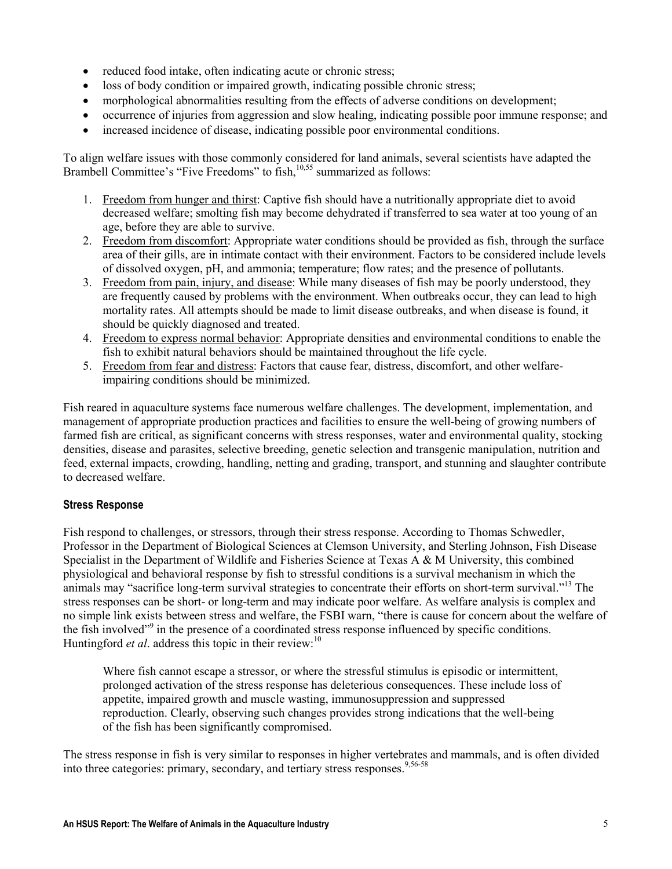- reduced food intake, often indicating acute or chronic stress;
- loss of body condition or impaired growth, indicating possible chronic stress;
- morphological abnormalities resulting from the effects of adverse conditions on development;
- occurrence of injuries from aggression and slow healing, indicating possible poor immune response; and
- increased incidence of disease, indicating possible poor environmental conditions.

To align welfare issues with those commonly considered for land animals, several scientists have adapted the Brambell Committee's "Five Freedoms" to fish,<sup>10,55</sup> summarized as follows:

- 1. Freedom from hunger and thirst: Captive fish should have a nutritionally appropriate diet to avoid decreased welfare; smolting fish may become dehydrated if transferred to sea water at too young of an age, before they are able to survive.
- 2. Freedom from discomfort: Appropriate water conditions should be provided as fish, through the surface area of their gills, are in intimate contact with their environment. Factors to be considered include levels of dissolved oxygen, pH, and ammonia; temperature; flow rates; and the presence of pollutants.
- 3. Freedom from pain, injury, and disease: While many diseases of fish may be poorly understood, they are frequently caused by problems with the environment. When outbreaks occur, they can lead to high mortality rates. All attempts should be made to limit disease outbreaks, and when disease is found, it should be quickly diagnosed and treated.
- 4. Freedom to express normal behavior: Appropriate densities and environmental conditions to enable the fish to exhibit natural behaviors should be maintained throughout the life cycle.
- 5. Freedom from fear and distress: Factors that cause fear, distress, discomfort, and other welfareimpairing conditions should be minimized.

Fish reared in aquaculture systems face numerous welfare challenges. The development, implementation, and management of appropriate production practices and facilities to ensure the well-being of growing numbers of farmed fish are critical, as significant concerns with stress responses, water and environmental quality, stocking densities, disease and parasites, selective breeding, genetic selection and transgenic manipulation, nutrition and feed, external impacts, crowding, handling, netting and grading, transport, and stunning and slaughter contribute to decreased welfare.

# Stress Response

Fish respond to challenges, or stressors, through their stress response. According to Thomas Schwedler, Professor in the Department of Biological Sciences at Clemson University, and Sterling Johnson, Fish Disease Specialist in the Department of Wildlife and Fisheries Science at Texas A & M University, this combined physiological and behavioral response by fish to stressful conditions is a survival mechanism in which the animals may "sacrifice long-term survival strategies to concentrate their efforts on short-term survival."<sup>13</sup> The stress responses can be short- or long-term and may indicate poor welfare. As welfare analysis is complex and no simple link exists between stress and welfare, the FSBI warn, "there is cause for concern about the welfare of the fish involved"<sup>9</sup> in the presence of a coordinated stress response influenced by specific conditions. Huntingford et al. address this topic in their review:<sup>10</sup>

Where fish cannot escape a stressor, or where the stressful stimulus is episodic or intermittent, prolonged activation of the stress response has deleterious consequences. These include loss of appetite, impaired growth and muscle wasting, immunosuppression and suppressed reproduction. Clearly, observing such changes provides strong indications that the well-being of the fish has been significantly compromised.

The stress response in fish is very similar to responses in higher vertebrates and mammals, and is often divided into three categories: primary, secondary, and tertiary stress responses.<sup>9,56-58</sup>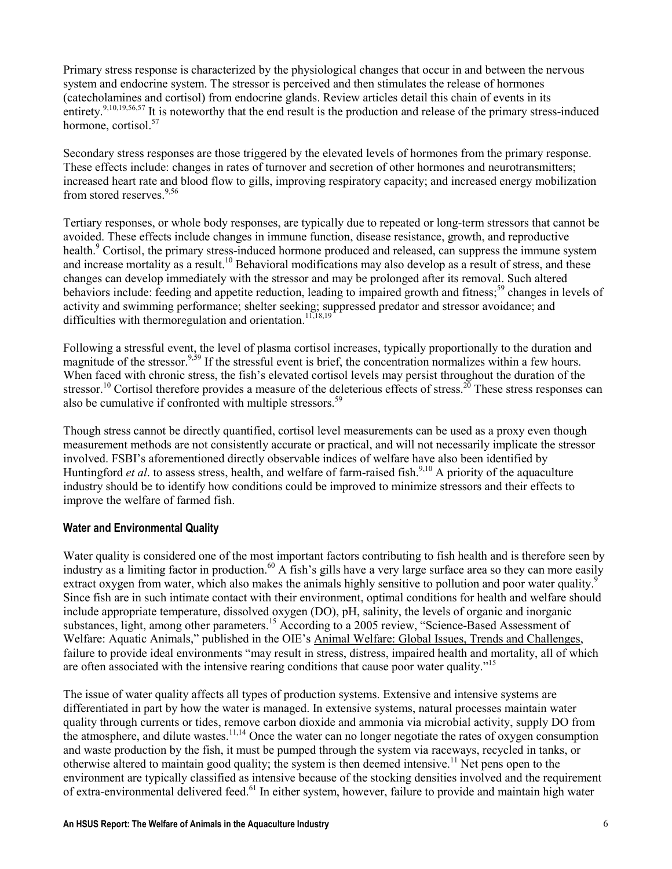Primary stress response is characterized by the physiological changes that occur in and between the nervous system and endocrine system. The stressor is perceived and then stimulates the release of hormones (catecholamines and cortisol) from endocrine glands. Review articles detail this chain of events in its entirety.<sup>9,10,19,56,57</sup> It is noteworthy that the end result is the production and release of the primary stress-induced hormone, cortisol.<sup>57</sup>

Secondary stress responses are those triggered by the elevated levels of hormones from the primary response. These effects include: changes in rates of turnover and secretion of other hormones and neurotransmitters; increased heart rate and blood flow to gills, improving respiratory capacity; and increased energy mobilization from stored reserves.<sup>9,56</sup>

Tertiary responses, or whole body responses, are typically due to repeated or long-term stressors that cannot be avoided. These effects include changes in immune function, disease resistance, growth, and reproductive health.<sup>9</sup> Cortisol, the primary stress-induced hormone produced and released, can suppress the immune system and increase mortality as a result.<sup>10</sup> Behavioral modifications may also develop as a result of stress, and these changes can develop immediately with the stressor and may be prolonged after its removal. Such altered behaviors include: feeding and appetite reduction, leading to impaired growth and fitness;<sup>59</sup> changes in levels of activity and swimming performance; shelter seeking; suppressed predator and stressor avoidance; and difficulties with thermoregulation and orientation.<sup>11,18,19</sup>

Following a stressful event, the level of plasma cortisol increases, typically proportionally to the duration and magnitude of the stressor.<sup>9,59</sup> If the stressful event is brief, the concentration normalizes within a few hours. When faced with chronic stress, the fish's elevated cortisol levels may persist throughout the duration of the stressor.<sup>10</sup> Cortisol therefore provides a measure of the deleterious effects of stress.<sup>20</sup> These stress responses can also be cumulative if confronted with multiple stressors.<sup>59</sup>

Though stress cannot be directly quantified, cortisol level measurements can be used as a proxy even though measurement methods are not consistently accurate or practical, and will not necessarily implicate the stressor involved. FSBI's aforementioned directly observable indices of welfare have also been identified by Huntingford *et al.* to assess stress, health, and welfare of farm-raised fish.<sup>9,10</sup> A priority of the aquaculture industry should be to identify how conditions could be improved to minimize stressors and their effects to improve the welfare of farmed fish.

#### Water and Environmental Quality

Water quality is considered one of the most important factors contributing to fish health and is therefore seen by industry as a limiting factor in production.<sup>60</sup> A fish's gills have a very large surface area so they can more easily extract oxygen from water, which also makes the animals highly sensitive to pollution and poor water quality.<sup>9</sup> Since fish are in such intimate contact with their environment, optimal conditions for health and welfare should include appropriate temperature, dissolved oxygen (DO), pH, salinity, the levels of organic and inorganic substances, light, among other parameters.<sup>15</sup> According to a 2005 review, "Science-Based Assessment of Welfare: Aquatic Animals," published in the OIE's Animal Welfare: Global Issues, Trends and Challenges, failure to provide ideal environments "may result in stress, distress, impaired health and mortality, all of which are often associated with the intensive rearing conditions that cause poor water quality."<sup>15</sup>

The issue of water quality affects all types of production systems. Extensive and intensive systems are differentiated in part by how the water is managed. In extensive systems, natural processes maintain water quality through currents or tides, remove carbon dioxide and ammonia via microbial activity, supply DO from the atmosphere, and dilute wastes.<sup>11,14</sup> Once the water can no longer negotiate the rates of oxygen consumption and waste production by the fish, it must be pumped through the system via raceways, recycled in tanks, or otherwise altered to maintain good quality; the system is then deemed intensive.<sup>11</sup> Net pens open to the environment are typically classified as intensive because of the stocking densities involved and the requirement of extra-environmental delivered feed.<sup>61</sup> In either system, however, failure to provide and maintain high water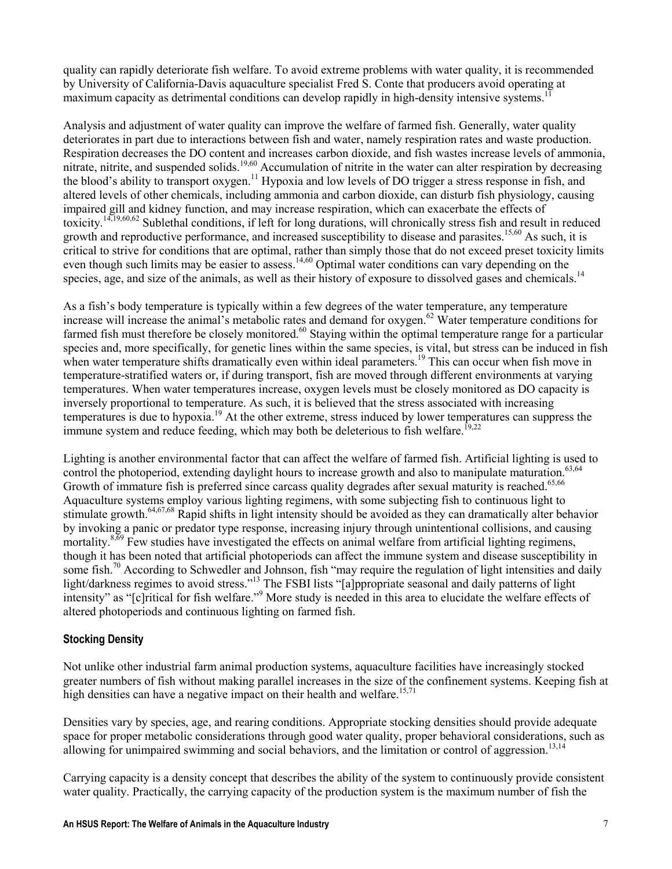quality can rapidly deteriorate fish welfare. To avoid extreme problems with water quality, it is recommended by University of California-Davis aquaculture specialist Fred S. Conte that producers avoid operating at maximum capacity as detrimental conditions can develop rapidly in high-density intensive systems.<sup>11</sup>

Analysis and adjustment of water quality can improve the welfare of farmed fish. Generally, water quality deteriorates in part due to interactions between fish and water, namely respiration rates and waste production. Respiration decreases the DO content and increases carbon dioxide, and fish wastes increase levels of ammonia, nitrate, nitrite, and suspended solids.<sup>19,60</sup> Accumulation of nitrite in the water can alter respiration by decreasing the blood's ability to transport oxygen.<sup>11</sup> Hypoxia and low levels of DO trigger a stress response in fish, and altered levels of other chemicals, including ammonia and carbon dioxide, can disturb fish physiology, causing impaired gill and kidney function, and may increase respiration, which can exacerbate the effects of toxicity.14,19,60,62 Sublethal conditions, if left for long durations, will chronically stress fish and result in reduced growth and reproductive performance, and increased susceptibility to disease and parasites.<sup>15,60</sup> As such, it is critical to strive for conditions that are optimal, rather than simply those that do not exceed preset toxicity limits even though such limits may be easier to assess.<sup>14,60</sup> Optimal water conditions can vary depending on the species, age, and size of the animals, as well as their history of exposure to dissolved gases and chemicals.<sup>14</sup>

As a fish's body temperature is typically within a few degrees of the water temperature, any temperature increase will increase the animal's metabolic rates and demand for oxygen.<sup>62</sup> Water temperature conditions for farmed fish must therefore be closely monitored.<sup>60</sup> Staying within the optimal temperature range for a particular species and, more specifically, for genetic lines within the same species, is vital, but stress can be induced in fish when water temperature shifts dramatically even within ideal parameters.<sup>19</sup> This can occur when fish move in temperature-stratified waters or, if during transport, fish are moved through different environments at varying temperatures. When water temperatures increase, oxygen levels must be closely monitored as DO capacity is inversely proportional to temperature. As such, it is believed that the stress associated with increasing temperatures is due to hypoxia.<sup>19</sup> At the other extreme, stress induced by lower temperatures can suppress the immune system and reduce feeding, which may both be deleterious to fish welfare.<sup>19,22</sup>

Lighting is another environmental factor that can affect the welfare of farmed fish. Artificial lighting is used to control the photoperiod, extending daylight hours to increase growth and also to manipulate maturation.<sup>63,64</sup> Growth of immature fish is preferred since carcass quality degrades after sexual maturity is reached.<sup>65,66</sup> Aquaculture systems employ various lighting regimens, with some subjecting fish to continuous light to stimulate growth.64,67,68 Rapid shifts in light intensity should be avoided as they can dramatically alter behavior by invoking a panic or predator type response, increasing injury through unintentional collisions, and causing mortality.<sup>8,69</sup> Few studies have investigated the effects on animal welfare from artificial lighting regimens, though it has been noted that artificial photoperiods can affect the immune system and disease susceptibility in some fish.<sup>70</sup> According to Schwedler and Johnson, fish "may require the regulation of light intensities and daily light/darkness regimes to avoid stress."<sup>13</sup> The FSBI lists "[a]ppropriate seasonal and daily patterns of light intensity" as "[c]ritical for fish welfare."<sup>9</sup> More study is needed in this area to elucidate the welfare effects of altered photoperiods and continuous lighting on farmed fish.

#### Stocking Density

Not unlike other industrial farm animal production systems, aquaculture facilities have increasingly stocked greater numbers of fish without making parallel increases in the size of the confinement systems. Keeping fish at high densities can have a negative impact on their health and welfare.<sup>15,71</sup>

Densities vary by species, age, and rearing conditions. Appropriate stocking densities should provide adequate space for proper metabolic considerations through good water quality, proper behavioral considerations, such as allowing for unimpaired swimming and social behaviors, and the limitation or control of aggression.<sup>13,14</sup>

Carrying capacity is a density concept that describes the ability of the system to continuously provide consistent water quality. Practically, the carrying capacity of the production system is the maximum number of fish the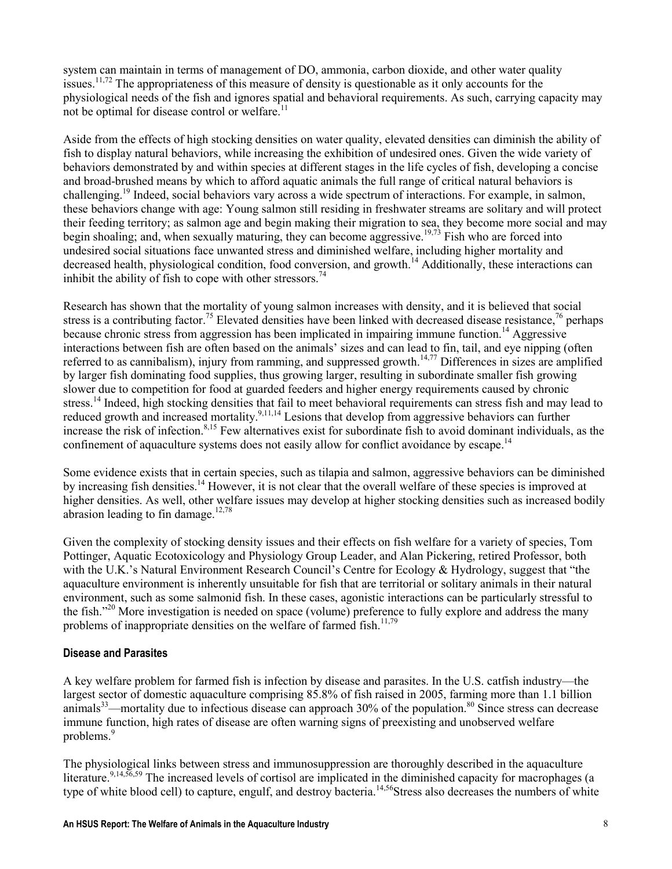system can maintain in terms of management of DO, ammonia, carbon dioxide, and other water quality issues.<sup>11,72</sup> The appropriateness of this measure of density is questionable as it only accounts for the physiological needs of the fish and ignores spatial and behavioral requirements. As such, carrying capacity may not be optimal for disease control or welfare.<sup>11</sup>

Aside from the effects of high stocking densities on water quality, elevated densities can diminish the ability of fish to display natural behaviors, while increasing the exhibition of undesired ones. Given the wide variety of behaviors demonstrated by and within species at different stages in the life cycles of fish, developing a concise and broad-brushed means by which to afford aquatic animals the full range of critical natural behaviors is challenging.<sup>19</sup> Indeed, social behaviors vary across a wide spectrum of interactions. For example, in salmon, these behaviors change with age: Young salmon still residing in freshwater streams are solitary and will protect their feeding territory; as salmon age and begin making their migration to sea, they become more social and may begin shoaling; and, when sexually maturing, they can become aggressive.<sup>19,73</sup> Fish who are forced into undesired social situations face unwanted stress and diminished welfare, including higher mortality and decreased health, physiological condition, food conversion, and growth.<sup>14</sup> Additionally, these interactions can inhibit the ability of fish to cope with other stressors.<sup>74</sup>

Research has shown that the mortality of young salmon increases with density, and it is believed that social stress is a contributing factor.<sup>75</sup> Elevated densities have been linked with decreased disease resistance,<sup>76</sup> perhaps because chronic stress from aggression has been implicated in impairing immune function.<sup>14</sup> Aggressive interactions between fish are often based on the animals' sizes and can lead to fin, tail, and eye nipping (often referred to as cannibalism), injury from ramming, and suppressed growth.<sup>14,77</sup> Differences in sizes are amplified by larger fish dominating food supplies, thus growing larger, resulting in subordinate smaller fish growing slower due to competition for food at guarded feeders and higher energy requirements caused by chronic stress.<sup>14</sup> Indeed, high stocking densities that fail to meet behavioral requirements can stress fish and may lead to reduced growth and increased mortality.<sup>9,11,14</sup> Lesions that develop from aggressive behaviors can further increase the risk of infection.<sup>8,15</sup> Few alternatives exist for subordinate fish to avoid dominant individuals, as the confinement of aquaculture systems does not easily allow for conflict avoidance by escape.<sup>14</sup>

Some evidence exists that in certain species, such as tilapia and salmon, aggressive behaviors can be diminished by increasing fish densities.<sup>14</sup> However, it is not clear that the overall welfare of these species is improved at higher densities. As well, other welfare issues may develop at higher stocking densities such as increased bodily abrasion leading to fin damage.<sup>12,78</sup>

Given the complexity of stocking density issues and their effects on fish welfare for a variety of species, Tom Pottinger, Aquatic Ecotoxicology and Physiology Group Leader, and Alan Pickering, retired Professor, both with the U.K.'s Natural Environment Research Council's Centre for Ecology & Hydrology, suggest that "the aquaculture environment is inherently unsuitable for fish that are territorial or solitary animals in their natural environment, such as some salmonid fish. In these cases, agonistic interactions can be particularly stressful to the fish."<sup>20</sup> More investigation is needed on space (volume) preference to fully explore and address the many problems of inappropriate densities on the welfare of farmed fish.<sup>11,79</sup>

#### Disease and Parasites

A key welfare problem for farmed fish is infection by disease and parasites. In the U.S. catfish industry—the largest sector of domestic aquaculture comprising 85.8% of fish raised in 2005, farming more than 1.1 billion animals<sup>33</sup>—mortality due to infectious disease can approach  $30\%$  of the population.<sup>80</sup> Since stress can decrease immune function, high rates of disease are often warning signs of preexisting and unobserved welfare problems.<sup>9</sup>

The physiological links between stress and immunosuppression are thoroughly described in the aquaculture literature.<sup>9,14,56,59</sup> The increased levels of cortisol are implicated in the diminished capacity for macrophages (a type of white blood cell) to capture, engulf, and destroy bacteria.<sup>14,56</sup>Stress also decreases the numbers of white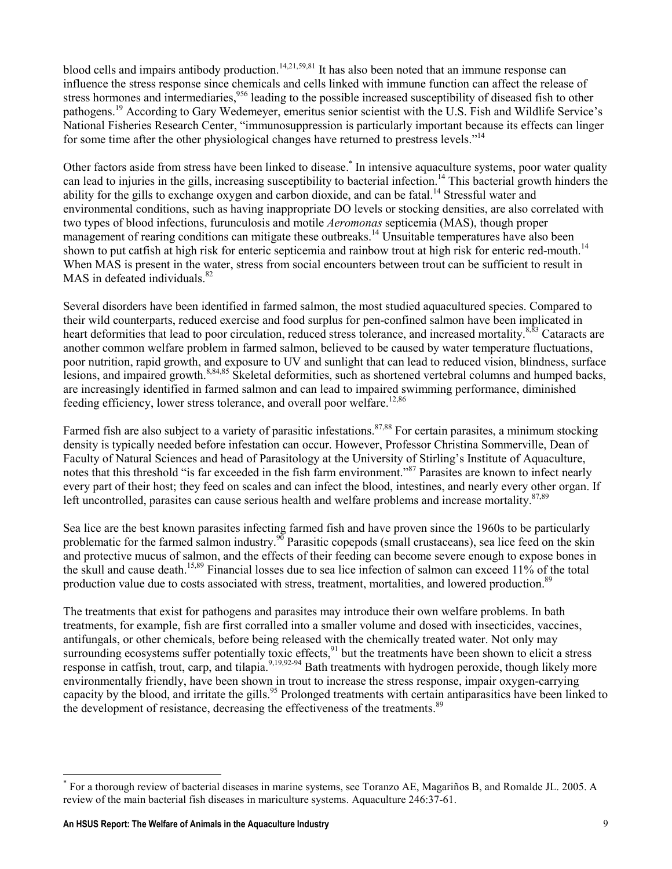blood cells and impairs antibody production.<sup>14,21,59,81</sup> It has also been noted that an immune response can influence the stress response since chemicals and cells linked with immune function can affect the release of stress hormones and intermediaries,<sup>956</sup> leading to the possible increased susceptibility of diseased fish to other pathogens.<sup>19</sup> According to Gary Wedemeyer, emeritus senior scientist with the U.S. Fish and Wildlife Service's National Fisheries Research Center, "immunosuppression is particularly important because its effects can linger for some time after the other physiological changes have returned to prestress levels."<sup>14</sup>

Other factors aside from stress have been linked to disease.<sup>\*</sup> In intensive aquaculture systems, poor water quality can lead to injuries in the gills, increasing susceptibility to bacterial infection.<sup>14</sup> This bacterial growth hinders the ability for the gills to exchange oxygen and carbon dioxide, and can be fatal.<sup>14</sup> Stressful water and environmental conditions, such as having inappropriate DO levels or stocking densities, are also correlated with two types of blood infections, furunculosis and motile Aeromonas septicemia (MAS), though proper management of rearing conditions can mitigate these outbreaks.<sup>14</sup> Unsuitable temperatures have also been shown to put catfish at high risk for enteric septicemia and rainbow trout at high risk for enteric red-mouth.<sup>14</sup> When MAS is present in the water, stress from social encounters between trout can be sufficient to result in MAS in defeated individuals.<sup>82</sup>

Several disorders have been identified in farmed salmon, the most studied aquacultured species. Compared to their wild counterparts, reduced exercise and food surplus for pen-confined salmon have been implicated in heart deformities that lead to poor circulation, reduced stress tolerance, and increased mortality.<sup>8,83</sup> Cataracts are another common welfare problem in farmed salmon, believed to be caused by water temperature fluctuations, poor nutrition, rapid growth, and exposure to UV and sunlight that can lead to reduced vision, blindness, surface lesions, and impaired growth.8,84,85 Skeletal deformities, such as shortened vertebral columns and humped backs, are increasingly identified in farmed salmon and can lead to impaired swimming performance, diminished feeding efficiency, lower stress tolerance, and overall poor welfare.<sup>12,86</sup>

Farmed fish are also subject to a variety of parasitic infestations.<sup>87,88</sup> For certain parasites, a minimum stocking density is typically needed before infestation can occur. However, Professor Christina Sommerville, Dean of Faculty of Natural Sciences and head of Parasitology at the University of Stirling's Institute of Aquaculture, notes that this threshold "is far exceeded in the fish farm environment."<sup>87</sup> Parasites are known to infect nearly every part of their host; they feed on scales and can infect the blood, intestines, and nearly every other organ. If left uncontrolled, parasites can cause serious health and welfare problems and increase mortality.<sup>87,89</sup>

Sea lice are the best known parasites infecting farmed fish and have proven since the 1960s to be particularly problematic for the farmed salmon industry.<sup>90</sup> Parasitic copepods (small crustaceans), sea lice feed on the skin and protective mucus of salmon, and the effects of their feeding can become severe enough to expose bones in the skull and cause death.15,89 Financial losses due to sea lice infection of salmon can exceed 11% of the total production value due to costs associated with stress, treatment, mortalities, and lowered production.<sup>89</sup>

The treatments that exist for pathogens and parasites may introduce their own welfare problems. In bath treatments, for example, fish are first corralled into a smaller volume and dosed with insecticides, vaccines, antifungals, or other chemicals, before being released with the chemically treated water. Not only may surrounding ecosystems suffer potentially toxic effects,  $91$  but the treatments have been shown to elicit a stress response in catfish, trout, carp, and tilapia.<sup>9,19,92-94</sup> Bath treatments with hydrogen peroxide, though likely more environmentally friendly, have been shown in trout to increase the stress response, impair oxygen-carrying capacity by the blood, and irritate the gills.<sup>95</sup> Prolonged treatments with certain antiparasitics have been linked to the development of resistance, decreasing the effectiveness of the treatments.<sup>89</sup>

 $\overline{a}$ 

<sup>\*</sup> For a thorough review of bacterial diseases in marine systems, see Toranzo AE, Magariños B, and Romalde JL. 2005. A review of the main bacterial fish diseases in mariculture systems. Aquaculture 246:37-61.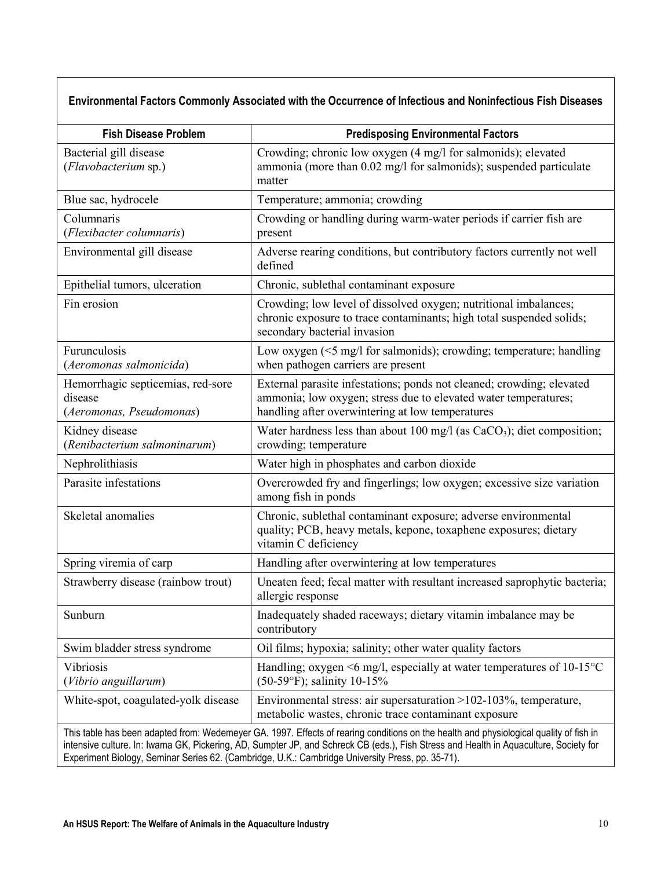# Environmental Factors Commonly Associated with the Occurrence of Infectious and Noninfectious Fish Diseases

| <b>Fish Disease Problem</b>                                                                                                                                                                                                                                                                                                                                                         | <b>Predisposing Environmental Factors</b>                                                                                                                                                    |  |
|-------------------------------------------------------------------------------------------------------------------------------------------------------------------------------------------------------------------------------------------------------------------------------------------------------------------------------------------------------------------------------------|----------------------------------------------------------------------------------------------------------------------------------------------------------------------------------------------|--|
| Bacterial gill disease<br>(Flavobacterium sp.)                                                                                                                                                                                                                                                                                                                                      | Crowding; chronic low oxygen (4 mg/l for salmonids); elevated<br>ammonia (more than 0.02 mg/l for salmonids); suspended particulate<br>matter                                                |  |
| Blue sac, hydrocele                                                                                                                                                                                                                                                                                                                                                                 | Temperature; ammonia; crowding                                                                                                                                                               |  |
| Columnaris<br>(Flexibacter columnaris)                                                                                                                                                                                                                                                                                                                                              | Crowding or handling during warm-water periods if carrier fish are<br>present                                                                                                                |  |
| Environmental gill disease                                                                                                                                                                                                                                                                                                                                                          | Adverse rearing conditions, but contributory factors currently not well<br>defined                                                                                                           |  |
| Epithelial tumors, ulceration                                                                                                                                                                                                                                                                                                                                                       | Chronic, sublethal contaminant exposure                                                                                                                                                      |  |
| Fin erosion                                                                                                                                                                                                                                                                                                                                                                         | Crowding; low level of dissolved oxygen; nutritional imbalances;<br>chronic exposure to trace contaminants; high total suspended solids;<br>secondary bacterial invasion                     |  |
| Furunculosis<br>(Aeromonas salmonicida)                                                                                                                                                                                                                                                                                                                                             | Low oxygen (<5 mg/l for salmonids); crowding; temperature; handling<br>when pathogen carriers are present                                                                                    |  |
| Hemorrhagic septicemias, red-sore<br>disease<br>(Aeromonas, Pseudomonas)                                                                                                                                                                                                                                                                                                            | External parasite infestations; ponds not cleaned; crowding; elevated<br>ammonia; low oxygen; stress due to elevated water temperatures;<br>handling after overwintering at low temperatures |  |
| Kidney disease<br>(Renibacterium salmoninarum)                                                                                                                                                                                                                                                                                                                                      | Water hardness less than about 100 mg/l (as $CaCO3$ ); diet composition;<br>crowding; temperature                                                                                            |  |
| Nephrolithiasis                                                                                                                                                                                                                                                                                                                                                                     | Water high in phosphates and carbon dioxide                                                                                                                                                  |  |
| Parasite infestations                                                                                                                                                                                                                                                                                                                                                               | Overcrowded fry and fingerlings; low oxygen; excessive size variation<br>among fish in ponds                                                                                                 |  |
| Skeletal anomalies                                                                                                                                                                                                                                                                                                                                                                  | Chronic, sublethal contaminant exposure; adverse environmental<br>quality; PCB, heavy metals, kepone, toxaphene exposures; dietary<br>vitamin C deficiency                                   |  |
| Spring viremia of carp                                                                                                                                                                                                                                                                                                                                                              | Handling after overwintering at low temperatures                                                                                                                                             |  |
| Strawberry disease (rainbow trout)                                                                                                                                                                                                                                                                                                                                                  | Uneaten feed; fecal matter with resultant increased saprophytic bacteria;<br>allergic response                                                                                               |  |
| Sunburn                                                                                                                                                                                                                                                                                                                                                                             | Inadequately shaded raceways; dietary vitamin imbalance may be<br>contributory                                                                                                               |  |
| Swim bladder stress syndrome                                                                                                                                                                                                                                                                                                                                                        | Oil films; hypoxia; salinity; other water quality factors                                                                                                                                    |  |
| Vibriosis<br>(Vibrio anguillarum)                                                                                                                                                                                                                                                                                                                                                   | Handling; oxygen $\leq 6$ mg/l, especially at water temperatures of 10-15 $\degree$ C<br>$(50-59^{\circ}F)$ ; salinity 10-15%                                                                |  |
| White-spot, coagulated-yolk disease                                                                                                                                                                                                                                                                                                                                                 | Environmental stress: air supersaturation >102-103%, temperature,<br>metabolic wastes, chronic trace contaminant exposure                                                                    |  |
| This table has been adapted from: Wedemeyer GA. 1997. Effects of rearing conditions on the health and physiological quality of fish in<br>intensive culture. In: Iwama GK, Pickering, AD, Sumpter JP, and Schreck CB (eds.), Fish Stress and Health in Aquaculture, Society for<br>Experiment Biology, Seminar Series 62. (Cambridge, U.K.: Cambridge University Press, pp. 35-71). |                                                                                                                                                                                              |  |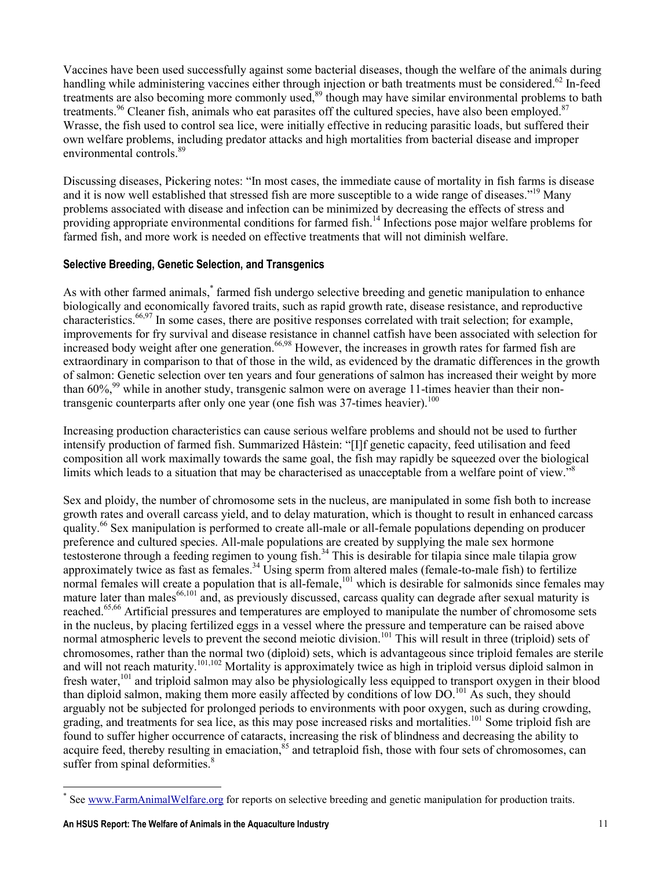Vaccines have been used successfully against some bacterial diseases, though the welfare of the animals during handling while administering vaccines either through injection or bath treatments must be considered.<sup>62</sup> In-feed treatments are also becoming more commonly used,<sup>89</sup> though may have similar environmental problems to bath treatments.<sup>96</sup> Cleaner fish, animals who eat parasites off the cultured species, have also been employed.<sup>87</sup> Wrasse, the fish used to control sea lice, were initially effective in reducing parasitic loads, but suffered their own welfare problems, including predator attacks and high mortalities from bacterial disease and improper environmental controls.<sup>89</sup>

Discussing diseases, Pickering notes: "In most cases, the immediate cause of mortality in fish farms is disease and it is now well established that stressed fish are more susceptible to a wide range of diseases."<sup>19</sup> Many problems associated with disease and infection can be minimized by decreasing the effects of stress and providing appropriate environmental conditions for farmed fish.<sup>14</sup> Infections pose major welfare problems for farmed fish, and more work is needed on effective treatments that will not diminish welfare.

#### Selective Breeding, Genetic Selection, and Transgenics

As with other farmed animals,<sup>\*</sup> farmed fish undergo selective breeding and genetic manipulation to enhance biologically and economically favored traits, such as rapid growth rate, disease resistance, and reproductive characteristics.66,97 In some cases, there are positive responses correlated with trait selection; for example, improvements for fry survival and disease resistance in channel catfish have been associated with selection for increased body weight after one generation.<sup>66,98</sup> However, the increases in growth rates for farmed fish are extraordinary in comparison to that of those in the wild, as evidenced by the dramatic differences in the growth of salmon: Genetic selection over ten years and four generations of salmon has increased their weight by more than  $60\%$ <sup>99</sup> while in another study, transgenic salmon were on average 11-times heavier than their nontransgenic counterparts after only one year (one fish was 37-times heavier).<sup>100</sup>

Increasing production characteristics can cause serious welfare problems and should not be used to further intensify production of farmed fish. Summarized Håstein: "[I]f genetic capacity, feed utilisation and feed composition all work maximally towards the same goal, the fish may rapidly be squeezed over the biological limits which leads to a situation that may be characterised as unacceptable from a welfare point of view."<sup>8</sup>

Sex and ploidy, the number of chromosome sets in the nucleus, are manipulated in some fish both to increase growth rates and overall carcass yield, and to delay maturation, which is thought to result in enhanced carcass quality.<sup>66</sup> Sex manipulation is performed to create all-male or all-female populations depending on producer preference and cultured species. All-male populations are created by supplying the male sex hormone testosterone through a feeding regimen to young fish.<sup>34</sup> This is desirable for tilapia since male tilapia grow approximately twice as fast as females.<sup>34</sup> Using sperm from altered males (female-to-male fish) to fertilize normal females will create a population that is all-female,<sup>101</sup> which is desirable for salmonids since females may mature later than males $^{66,101}$  and, as previously discussed, carcass quality can degrade after sexual maturity is reached.<sup>65,66</sup> Artificial pressures and temperatures are employed to manipulate the number of chromosome sets in the nucleus, by placing fertilized eggs in a vessel where the pressure and temperature can be raised above normal atmospheric levels to prevent the second meiotic division.<sup>101</sup> This will result in three (triploid) sets of chromosomes, rather than the normal two (diploid) sets, which is advantageous since triploid females are sterile and will not reach maturity.<sup>101,102</sup> Mortality is approximately twice as high in triploid versus diploid salmon in fresh water,<sup>101</sup> and triploid salmon may also be physiologically less equipped to transport oxygen in their blood than diploid salmon, making them more easily affected by conditions of low DO.<sup>101</sup> As such, they should arguably not be subjected for prolonged periods to environments with poor oxygen, such as during crowding, grading, and treatments for sea lice, as this may pose increased risks and mortalities.<sup>101</sup> Some triploid fish are found to suffer higher occurrence of cataracts, increasing the risk of blindness and decreasing the ability to acquire feed, thereby resulting in emaciation,<sup>85</sup> and tetraploid fish, those with four sets of chromosomes, can suffer from spinal deformities.<sup>8</sup>

 $\overline{a}$ 

<sup>\*</sup> See www.FarmAnimalWelfare.org for reports on selective breeding and genetic manipulation for production traits.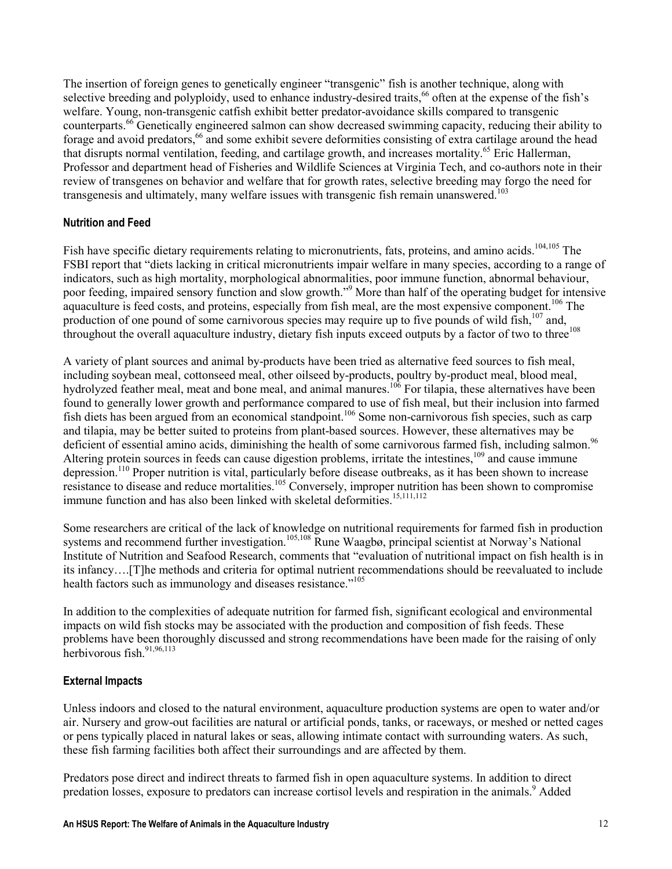The insertion of foreign genes to genetically engineer "transgenic" fish is another technique, along with selective breeding and polyploidy, used to enhance industry-desired traits,<sup>66</sup> often at the expense of the fish's welfare. Young, non-transgenic catfish exhibit better predator-avoidance skills compared to transgenic counterparts.<sup>66</sup> Genetically engineered salmon can show decreased swimming capacity, reducing their ability to forage and avoid predators,<sup>66</sup> and some exhibit severe deformities consisting of extra cartilage around the head that disrupts normal ventilation, feeding, and cartilage growth, and increases mortality.<sup>65</sup> Eric Hallerman, Professor and department head of Fisheries and Wildlife Sciences at Virginia Tech, and co-authors note in their review of transgenes on behavior and welfare that for growth rates, selective breeding may forgo the need for transgenesis and ultimately, many welfare issues with transgenic fish remain unanswered.<sup>103</sup>

#### Nutrition and Feed

Fish have specific dietary requirements relating to micronutrients, fats, proteins, and amino acids.<sup>104,105</sup> The FSBI report that "diets lacking in critical micronutrients impair welfare in many species, according to a range of indicators, such as high mortality, morphological abnormalities, poor immune function, abnormal behaviour, poor feeding, impaired sensory function and slow growth."<sup>9</sup> More than half of the operating budget for intensive aquaculture is feed costs, and proteins, especially from fish meal, are the most expensive component.<sup>106</sup> The production of one pound of some carnivorous species may require up to five pounds of wild fish,<sup>107</sup> and, throughout the overall aquaculture industry, dietary fish inputs exceed outputs by a factor of two to three<sup>108</sup>

A variety of plant sources and animal by-products have been tried as alternative feed sources to fish meal, including soybean meal, cottonseed meal, other oilseed by-products, poultry by-product meal, blood meal, hydrolyzed feather meal, meat and bone meal, and animal manures.<sup>106</sup> For tilapia, these alternatives have been found to generally lower growth and performance compared to use of fish meal, but their inclusion into farmed fish diets has been argued from an economical standpoint.<sup>106</sup> Some non-carnivorous fish species, such as carp and tilapia, may be better suited to proteins from plant-based sources. However, these alternatives may be deficient of essential amino acids, diminishing the health of some carnivorous farmed fish, including salmon.<sup>96</sup> Altering protein sources in feeds can cause digestion problems, irritate the intestines,<sup>109</sup> and cause immune depression.<sup>110</sup> Proper nutrition is vital, particularly before disease outbreaks, as it has been shown to increase resistance to disease and reduce mortalities.<sup>105</sup> Conversely, improper nutrition has been shown to compromise immune function and has also been linked with skeletal deformities.<sup>15,111,112</sup>

Some researchers are critical of the lack of knowledge on nutritional requirements for farmed fish in production systems and recommend further investigation.<sup>105,108</sup> Rune Waagbø, principal scientist at Norway's National Institute of Nutrition and Seafood Research, comments that "evaluation of nutritional impact on fish health is in its infancy….[T]he methods and criteria for optimal nutrient recommendations should be reevaluated to include health factors such as immunology and diseases resistance."<sup>105</sup>

In addition to the complexities of adequate nutrition for farmed fish, significant ecological and environmental impacts on wild fish stocks may be associated with the production and composition of fish feeds. These problems have been thoroughly discussed and strong recommendations have been made for the raising of only herbivorous fish. $91,96,113$ 

#### External Impacts

Unless indoors and closed to the natural environment, aquaculture production systems are open to water and/or air. Nursery and grow-out facilities are natural or artificial ponds, tanks, or raceways, or meshed or netted cages or pens typically placed in natural lakes or seas, allowing intimate contact with surrounding waters. As such, these fish farming facilities both affect their surroundings and are affected by them.

Predators pose direct and indirect threats to farmed fish in open aquaculture systems. In addition to direct predation losses, exposure to predators can increase cortisol levels and respiration in the animals.<sup>9</sup> Added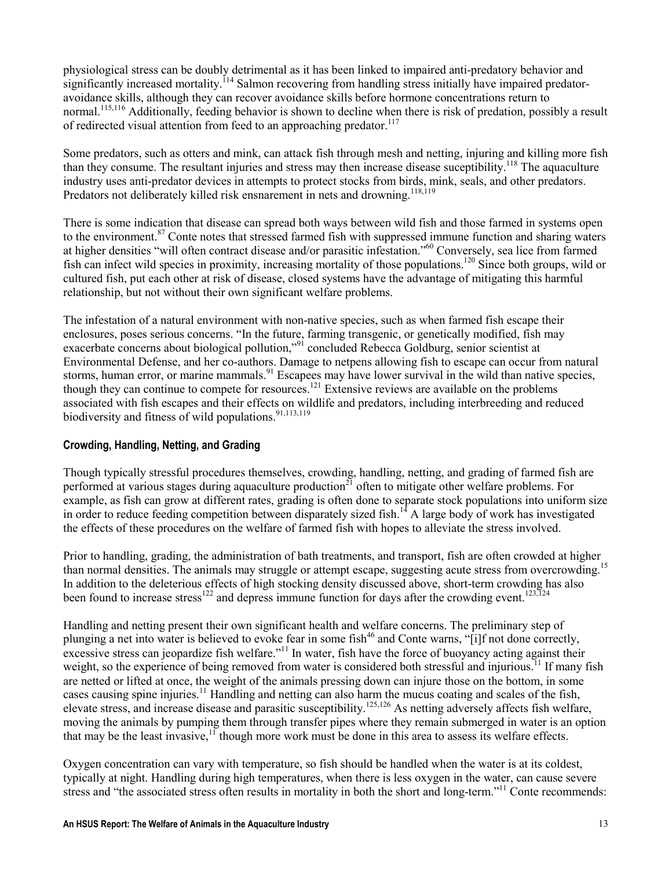physiological stress can be doubly detrimental as it has been linked to impaired anti-predatory behavior and significantly increased mortality.<sup>114</sup> Salmon recovering from handling stress initially have impaired predatoravoidance skills, although they can recover avoidance skills before hormone concentrations return to normal.<sup>115,116</sup> Additionally, feeding behavior is shown to decline when there is risk of predation, possibly a result of redirected visual attention from feed to an approaching predator.<sup>117</sup>

Some predators, such as otters and mink, can attack fish through mesh and netting, injuring and killing more fish than they consume. The resultant injuries and stress may then increase disease suceptibility.<sup>118</sup> The aquaculture industry uses anti-predator devices in attempts to protect stocks from birds, mink, seals, and other predators. Predators not deliberately killed risk ensnarement in nets and drowning.<sup>118,119</sup>

There is some indication that disease can spread both ways between wild fish and those farmed in systems open to the environment.<sup>87</sup> Conte notes that stressed farmed fish with suppressed immune function and sharing waters at higher densities "will often contract disease and/or parasitic infestation."<sup>60</sup> Conversely, sea lice from farmed fish can infect wild species in proximity, increasing mortality of those populations.<sup>120</sup> Since both groups, wild or cultured fish, put each other at risk of disease, closed systems have the advantage of mitigating this harmful relationship, but not without their own significant welfare problems.

The infestation of a natural environment with non-native species, such as when farmed fish escape their enclosures, poses serious concerns. "In the future, farming transgenic, or genetically modified, fish may exacerbate concerns about biological pollution,"<sup>91</sup> concluded Rebecca Goldburg, senior scientist at Environmental Defense, and her co-authors. Damage to netpens allowing fish to escape can occur from natural storms, human error, or marine mammals.<sup>91</sup> Escapees may have lower survival in the wild than native species, though they can continue to compete for resources.<sup>121</sup> Extensive reviews are available on the problems associated with fish escapes and their effects on wildlife and predators, including interbreeding and reduced biodiversity and fitness of wild populations.<sup>91,113,119</sup>

#### Crowding, Handling, Netting, and Grading

Though typically stressful procedures themselves, crowding, handling, netting, and grading of farmed fish are performed at various stages during aquaculture production<sup>21</sup> often to mitigate other welfare problems. For example, as fish can grow at different rates, grading is often done to separate stock populations into uniform size in order to reduce feeding competition between disparately sized fish.<sup>14</sup> A large body of work has investigated the effects of these procedures on the welfare of farmed fish with hopes to alleviate the stress involved.

Prior to handling, grading, the administration of bath treatments, and transport, fish are often crowded at higher than normal densities. The animals may struggle or attempt escape, suggesting acute stress from overcrowding.<sup>15</sup> In addition to the deleterious effects of high stocking density discussed above, short-term crowding has also been found to increase stress<sup>122</sup> and depress immune function for days after the crowding event.<sup>123,124</sup>

Handling and netting present their own significant health and welfare concerns. The preliminary step of plunging a net into water is believed to evoke fear in some fish<sup>46</sup> and Conte warns, "[i]f not done correctly, excessive stress can jeopardize fish welfare."<sup>11</sup> In water, fish have the force of buoyancy acting against their weight, so the experience of being removed from water is considered both stressful and injurious.<sup>11</sup> If many fish are netted or lifted at once, the weight of the animals pressing down can injure those on the bottom, in some cases causing spine injuries.<sup>11</sup> Handling and netting can also harm the mucus coating and scales of the fish, elevate stress, and increase disease and parasitic susceptibility.125,126 As netting adversely affects fish welfare, moving the animals by pumping them through transfer pipes where they remain submerged in water is an option that may be the least invasive,<sup>11</sup> though more work must be done in this area to assess its welfare effects.

Oxygen concentration can vary with temperature, so fish should be handled when the water is at its coldest, typically at night. Handling during high temperatures, when there is less oxygen in the water, can cause severe stress and "the associated stress often results in mortality in both the short and long-term."<sup>11</sup> Conte recommends: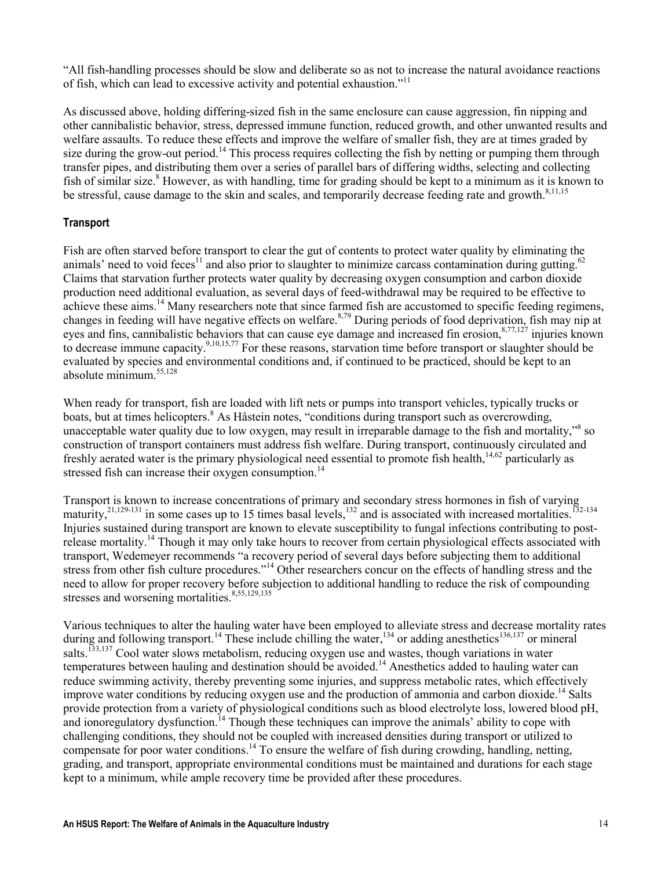"All fish-handling processes should be slow and deliberate so as not to increase the natural avoidance reactions of fish, which can lead to excessive activity and potential exhaustion."<sup>11</sup>

As discussed above, holding differing-sized fish in the same enclosure can cause aggression, fin nipping and other cannibalistic behavior, stress, depressed immune function, reduced growth, and other unwanted results and welfare assaults. To reduce these effects and improve the welfare of smaller fish, they are at times graded by size during the grow-out period.<sup>14</sup> This process requires collecting the fish by netting or pumping them through transfer pipes, and distributing them over a series of parallel bars of differing widths, selecting and collecting fish of similar size.<sup>8</sup> However, as with handling, time for grading should be kept to a minimum as it is known to be stressful, cause damage to the skin and scales, and temporarily decrease feeding rate and growth.<sup>8,11,15</sup>

### **Transport**

Fish are often starved before transport to clear the gut of contents to protect water quality by eliminating the animals' need to void feces<sup>11</sup> and also prior to slaughter to minimize carcass contamination during gutting.<sup>62</sup> Claims that starvation further protects water quality by decreasing oxygen consumption and carbon dioxide production need additional evaluation, as several days of feed-withdrawal may be required to be effective to achieve these aims.<sup>14</sup> Many researchers note that since farmed fish are accustomed to specific feeding regimens, changes in feeding will have negative effects on welfare.<sup>8,79</sup> During periods of food deprivation, fish may nip at eyes and fins, cannibalistic behaviors that can cause eye damage and increased fin erosion,<sup>8,77,127</sup> injuries known to decrease immune capacity.<sup>9,10,15,77</sup> For these reasons, starvation time before transport or slaughter should be evaluated by species and environmental conditions and, if continued to be practiced, should be kept to an absolute minimum.55,128

When ready for transport, fish are loaded with lift nets or pumps into transport vehicles, typically trucks or boats, but at times helicopters.<sup>8</sup> As Håstein notes, "conditions during transport such as overcrowding, unacceptable water quality due to low oxygen, may result in irreparable damage to the fish and mortality,"<sup>8</sup> so construction of transport containers must address fish welfare. During transport, continuously circulated and freshly aerated water is the primary physiological need essential to promote fish health,<sup>14,62</sup> particularly as stressed fish can increase their oxygen consumption.<sup>14</sup>

Transport is known to increase concentrations of primary and secondary stress hormones in fish of varying maturity,  $^{21,129-131}$  in some cases up to 15 times basal levels,  $^{132}$  and is associated with increased mortalities.  $^{132-134}$ Injuries sustained during transport are known to elevate susceptibility to fungal infections contributing to postrelease mortality.<sup>14</sup> Though it may only take hours to recover from certain physiological effects associated with transport, Wedemeyer recommends "a recovery period of several days before subjecting them to additional stress from other fish culture procedures."<sup>14</sup> Other researchers concur on the effects of handling stress and the need to allow for proper recovery before subjection to additional handling to reduce the risk of compounding stresses and worsening mortalities.<sup>8,55,129,135</sup>

Various techniques to alter the hauling water have been employed to alleviate stress and decrease mortality rates during and following transport.<sup>14</sup> These include chilling the water,<sup>134</sup> or adding anesthetics<sup>136,137</sup> or mineral salts.<sup>133,137</sup> Cool water slows metabolism, reducing oxygen use and wastes, though variations in water temperatures between hauling and destination should be avoided.<sup>14</sup> Anesthetics added to hauling water can reduce swimming activity, thereby preventing some injuries, and suppress metabolic rates, which effectively improve water conditions by reducing oxygen use and the production of ammonia and carbon dioxide.<sup>14</sup> Salts provide protection from a variety of physiological conditions such as blood electrolyte loss, lowered blood pH, and ionoregulatory dysfunction.<sup>14</sup> Though these techniques can improve the animals' ability to cope with challenging conditions, they should not be coupled with increased densities during transport or utilized to compensate for poor water conditions.<sup>14</sup> To ensure the welfare of fish during crowding, handling, netting, grading, and transport, appropriate environmental conditions must be maintained and durations for each stage kept to a minimum, while ample recovery time be provided after these procedures.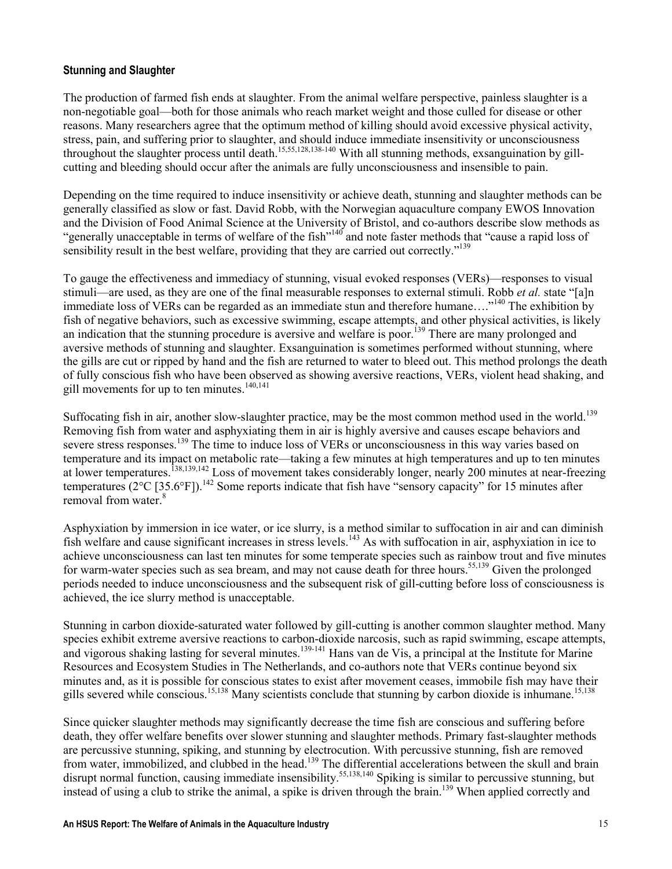#### Stunning and Slaughter

The production of farmed fish ends at slaughter. From the animal welfare perspective, painless slaughter is a non-negotiable goal—both for those animals who reach market weight and those culled for disease or other reasons. Many researchers agree that the optimum method of killing should avoid excessive physical activity, stress, pain, and suffering prior to slaughter, and should induce immediate insensitivity or unconsciousness throughout the slaughter process until death.15,55,128,138-140 With all stunning methods, exsanguination by gillcutting and bleeding should occur after the animals are fully unconsciousness and insensible to pain.

Depending on the time required to induce insensitivity or achieve death, stunning and slaughter methods can be generally classified as slow or fast. David Robb, with the Norwegian aquaculture company EWOS Innovation and the Division of Food Animal Science at the University of Bristol, and co-authors describe slow methods as "generally unacceptable in terms of welfare of the fish"<sup>140</sup> and note faster methods that "cause a rapid loss of sensibility result in the best welfare, providing that they are carried out correctly."<sup>139</sup>

To gauge the effectiveness and immediacy of stunning, visual evoked responses (VERs)—responses to visual stimuli—are used, as they are one of the final measurable responses to external stimuli. Robb et al. state "[a]n immediate loss of VERs can be regarded as an immediate stun and therefore humane...."<sup>140</sup> The exhibition by fish of negative behaviors, such as excessive swimming, escape attempts, and other physical activities, is likely an indication that the stunning procedure is aversive and welfare is poor.<sup>139</sup> There are many prolonged and aversive methods of stunning and slaughter. Exsanguination is sometimes performed without stunning, where the gills are cut or ripped by hand and the fish are returned to water to bleed out. This method prolongs the death of fully conscious fish who have been observed as showing aversive reactions, VERs, violent head shaking, and gill movements for up to ten minutes. $140,141$ 

Suffocating fish in air, another slow-slaughter practice, may be the most common method used in the world.<sup>139</sup> Removing fish from water and asphyxiating them in air is highly aversive and causes escape behaviors and severe stress responses.<sup>139</sup> The time to induce loss of VERs or unconsciousness in this way varies based on temperature and its impact on metabolic rate—taking a few minutes at high temperatures and up to ten minutes at lower temperatures.<sup>138,139,142</sup> Loss of movement takes considerably longer, nearly 200 minutes at near-freezing temperatures ( $2^{\circ}$ C [35.6 $^{\circ}$ F]).<sup>142</sup> Some reports indicate that fish have "sensory capacity" for 15 minutes after removal from water.<sup>8</sup>

Asphyxiation by immersion in ice water, or ice slurry, is a method similar to suffocation in air and can diminish fish welfare and cause significant increases in stress levels.<sup>143</sup> As with suffocation in air, asphyxiation in ice to achieve unconsciousness can last ten minutes for some temperate species such as rainbow trout and five minutes for warm-water species such as sea bream, and may not cause death for three hours.<sup>55,139</sup> Given the prolonged periods needed to induce unconsciousness and the subsequent risk of gill-cutting before loss of consciousness is achieved, the ice slurry method is unacceptable.

Stunning in carbon dioxide-saturated water followed by gill-cutting is another common slaughter method. Many species exhibit extreme aversive reactions to carbon-dioxide narcosis, such as rapid swimming, escape attempts, and vigorous shaking lasting for several minutes.<sup>139-141</sup> Hans van de Vis, a principal at the Institute for Marine Resources and Ecosystem Studies in The Netherlands, and co-authors note that VERs continue beyond six minutes and, as it is possible for conscious states to exist after movement ceases, immobile fish may have their gills severed while conscious.<sup>15,138</sup> Many scientists conclude that stunning by carbon dioxide is inhumane.<sup>15,138</sup>

Since quicker slaughter methods may significantly decrease the time fish are conscious and suffering before death, they offer welfare benefits over slower stunning and slaughter methods. Primary fast-slaughter methods are percussive stunning, spiking, and stunning by electrocution. With percussive stunning, fish are removed from water, immobilized, and clubbed in the head.<sup>139</sup> The differential accelerations between the skull and brain disrupt normal function, causing immediate insensibility.<sup>55,138,140</sup> Spiking is similar to percussive stunning, but instead of using a club to strike the animal, a spike is driven through the brain.<sup>139</sup> When applied correctly and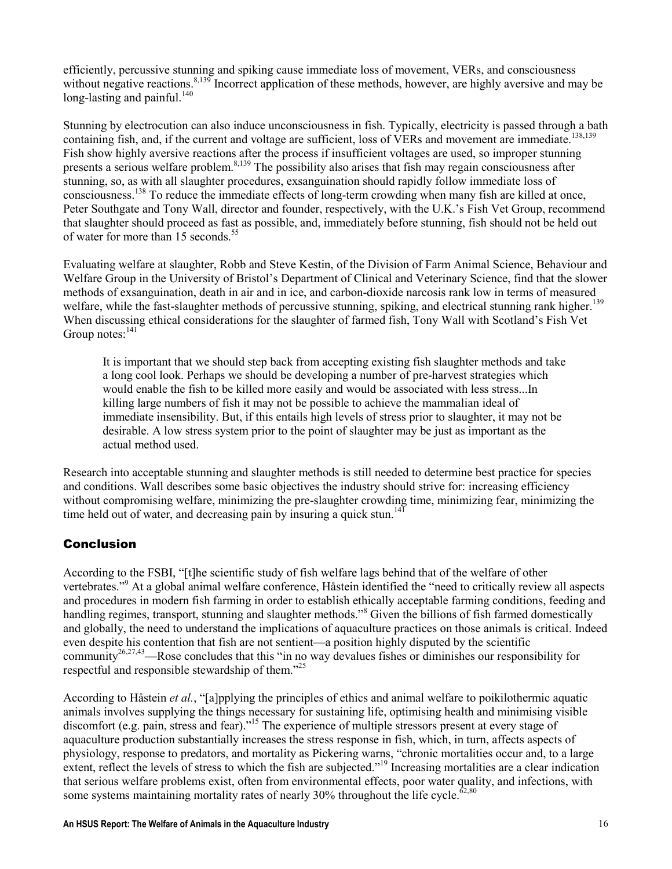efficiently, percussive stunning and spiking cause immediate loss of movement, VERs, and consciousness without negative reactions.<sup>8,139</sup> Incorrect application of these methods, however, are highly aversive and may be long-lasting and painful. $140$ 

Stunning by electrocution can also induce unconsciousness in fish. Typically, electricity is passed through a bath containing fish, and, if the current and voltage are sufficient, loss of VERs and movement are immediate.<sup>138,139</sup> Fish show highly aversive reactions after the process if insufficient voltages are used, so improper stunning presents a serious welfare problem.<sup>8,139</sup> The possibility also arises that fish may regain consciousness after stunning, so, as with all slaughter procedures, exsanguination should rapidly follow immediate loss of consciousness.<sup>138</sup> To reduce the immediate effects of long-term crowding when many fish are killed at once, Peter Southgate and Tony Wall, director and founder, respectively, with the U.K.'s Fish Vet Group, recommend that slaughter should proceed as fast as possible, and, immediately before stunning, fish should not be held out of water for more than 15 seconds.<sup>55</sup>

Evaluating welfare at slaughter, Robb and Steve Kestin, of the Division of Farm Animal Science, Behaviour and Welfare Group in the University of Bristol's Department of Clinical and Veterinary Science, find that the slower methods of exsanguination, death in air and in ice, and carbon-dioxide narcosis rank low in terms of measured welfare, while the fast-slaughter methods of percussive stunning, spiking, and electrical stunning rank higher.<sup>139</sup> When discussing ethical considerations for the slaughter of farmed fish, Tony Wall with Scotland's Fish Vet Group notes:<sup>141</sup>

It is important that we should step back from accepting existing fish slaughter methods and take a long cool look. Perhaps we should be developing a number of pre-harvest strategies which would enable the fish to be killed more easily and would be associated with less stress...In killing large numbers of fish it may not be possible to achieve the mammalian ideal of immediate insensibility. But, if this entails high levels of stress prior to slaughter, it may not be desirable. A low stress system prior to the point of slaughter may be just as important as the actual method used.

Research into acceptable stunning and slaughter methods is still needed to determine best practice for species and conditions. Wall describes some basic objectives the industry should strive for: increasing efficiency without compromising welfare, minimizing the pre-slaughter crowding time, minimizing fear, minimizing the time held out of water, and decreasing pain by insuring a quick stun.<sup>141</sup>

# Conclusion

According to the FSBI, "[t]he scientific study of fish welfare lags behind that of the welfare of other vertebrates."<sup>9</sup> At a global animal welfare conference, Håstein identified the "need to critically review all aspects and procedures in modern fish farming in order to establish ethically acceptable farming conditions, feeding and handling regimes, transport, stunning and slaughter methods."<sup>8</sup> Given the billions of fish farmed domestically and globally, the need to understand the implications of aquaculture practices on those animals is critical. Indeed even despite his contention that fish are not sentient—a position highly disputed by the scientific community26,27,43—Rose concludes that this "in no way devalues fishes or diminishes our responsibility for respectful and responsible stewardship of them."<sup>25</sup>

According to Håstein et al., "[a]pplying the principles of ethics and animal welfare to poikilothermic aquatic animals involves supplying the things necessary for sustaining life, optimising health and minimising visible discomfort (e.g. pain, stress and fear)."<sup>15</sup> The experience of multiple stressors present at every stage of aquaculture production substantially increases the stress response in fish, which, in turn, affects aspects of physiology, response to predators, and mortality as Pickering warns, "chronic mortalities occur and, to a large extent, reflect the levels of stress to which the fish are subjected."<sup>19</sup> Increasing mortalities are a clear indication that serious welfare problems exist, often from environmental effects, poor water quality, and infections, with some systems maintaining mortality rates of nearly  $30\%$  throughout the life cycle.<sup> $62,80$ </sup>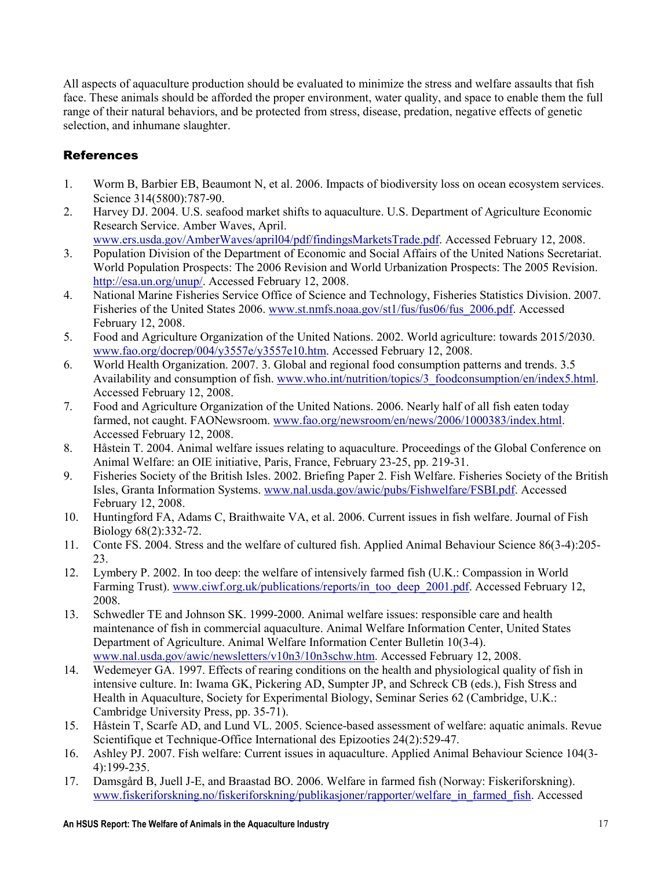All aspects of aquaculture production should be evaluated to minimize the stress and welfare assaults that fish face. These animals should be afforded the proper environment, water quality, and space to enable them the full range of their natural behaviors, and be protected from stress, disease, predation, negative effects of genetic selection, and inhumane slaughter.

# **References**

- 1. Worm B, Barbier EB, Beaumont N, et al. 2006. Impacts of biodiversity loss on ocean ecosystem services. Science 314(5800):787-90.
- 2. Harvey DJ. 2004. U.S. seafood market shifts to aquaculture. U.S. Department of Agriculture Economic Research Service. Amber Waves, April.
	- www.ers.usda.gov/AmberWaves/april04/pdf/findingsMarketsTrade.pdf. Accessed February 12, 2008.
- 3. Population Division of the Department of Economic and Social Affairs of the United Nations Secretariat. World Population Prospects: The 2006 Revision and World Urbanization Prospects: The 2005 Revision. http://esa.un.org/unup/. Accessed February 12, 2008.
- 4. National Marine Fisheries Service Office of Science and Technology, Fisheries Statistics Division. 2007. Fisheries of the United States 2006. www.st.nmfs.noaa.gov/st1/fus/fus06/fus\_2006.pdf. Accessed February 12, 2008.
- 5. Food and Agriculture Organization of the United Nations. 2002. World agriculture: towards 2015/2030. www.fao.org/docrep/004/y3557e/y3557e10.htm. Accessed February 12, 2008.
- 6. World Health Organization. 2007. 3. Global and regional food consumption patterns and trends. 3.5 Availability and consumption of fish. www.who.int/nutrition/topics/3\_foodconsumption/en/index5.html. Accessed February 12, 2008.
- 7. Food and Agriculture Organization of the United Nations. 2006. Nearly half of all fish eaten today farmed, not caught. FAONewsroom. www.fao.org/newsroom/en/news/2006/1000383/index.html. Accessed February 12, 2008.
- 8. Håstein T. 2004. Animal welfare issues relating to aquaculture. Proceedings of the Global Conference on Animal Welfare: an OIE initiative, Paris, France, February 23-25, pp. 219-31.
- 9. Fisheries Society of the British Isles. 2002. Briefing Paper 2. Fish Welfare. Fisheries Society of the British Isles, Granta Information Systems. www.nal.usda.gov/awic/pubs/Fishwelfare/FSBI.pdf. Accessed February 12, 2008.
- 10. Huntingford FA, Adams C, Braithwaite VA, et al. 2006. Current issues in fish welfare. Journal of Fish Biology 68(2):332-72.
- 11. Conte FS. 2004. Stress and the welfare of cultured fish. Applied Animal Behaviour Science 86(3-4):205- 23.
- 12. Lymbery P. 2002. In too deep: the welfare of intensively farmed fish (U.K.: Compassion in World Farming Trust). www.ciwf.org.uk/publications/reports/in\_too\_deep\_2001.pdf. Accessed February 12, 2008.
- 13. Schwedler TE and Johnson SK. 1999-2000. Animal welfare issues: responsible care and health maintenance of fish in commercial aquaculture. Animal Welfare Information Center, United States Department of Agriculture. Animal Welfare Information Center Bulletin 10(3-4). www.nal.usda.gov/awic/newsletters/v10n3/10n3schw.htm. Accessed February 12, 2008.
- 14. Wedemeyer GA. 1997. Effects of rearing conditions on the health and physiological quality of fish in intensive culture. In: Iwama GK, Pickering AD, Sumpter JP, and Schreck CB (eds.), Fish Stress and Health in Aquaculture, Society for Experimental Biology, Seminar Series 62 (Cambridge, U.K.: Cambridge University Press, pp. 35-71).
- 15. Håstein T, Scarfe AD, and Lund VL. 2005. Science-based assessment of welfare: aquatic animals. Revue Scientifique et Technique-Office International des Epizooties 24(2):529-47.
- 16. Ashley PJ. 2007. Fish welfare: Current issues in aquaculture. Applied Animal Behaviour Science 104(3- 4):199-235.
- 17. Damsgård B, Juell J-E, and Braastad BO. 2006. Welfare in farmed fish (Norway: Fiskeriforskning). www.fiskeriforskning.no/fiskeriforskning/publikasjoner/rapporter/welfare\_in\_farmed\_fish. Accessed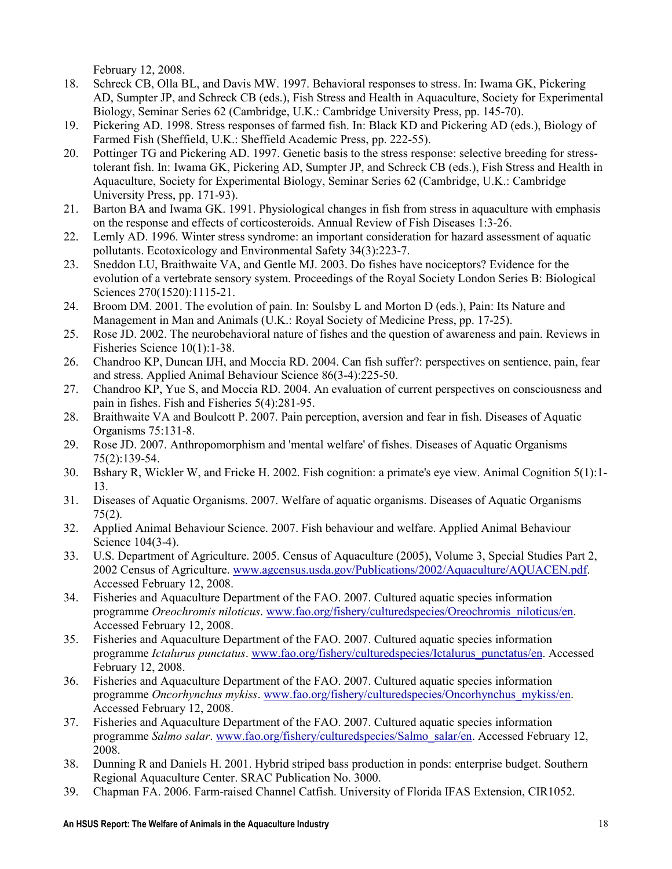February 12, 2008.

- 18. Schreck CB, Olla BL, and Davis MW. 1997. Behavioral responses to stress. In: Iwama GK, Pickering AD, Sumpter JP, and Schreck CB (eds.), Fish Stress and Health in Aquaculture, Society for Experimental Biology, Seminar Series 62 (Cambridge, U.K.: Cambridge University Press, pp. 145-70).
- 19. Pickering AD. 1998. Stress responses of farmed fish. In: Black KD and Pickering AD (eds.), Biology of Farmed Fish (Sheffield, U.K.: Sheffield Academic Press, pp. 222-55).
- 20. Pottinger TG and Pickering AD. 1997. Genetic basis to the stress response: selective breeding for stresstolerant fish. In: Iwama GK, Pickering AD, Sumpter JP, and Schreck CB (eds.), Fish Stress and Health in Aquaculture, Society for Experimental Biology, Seminar Series 62 (Cambridge, U.K.: Cambridge University Press, pp. 171-93).
- 21. Barton BA and Iwama GK. 1991. Physiological changes in fish from stress in aquaculture with emphasis on the response and effects of corticosteroids. Annual Review of Fish Diseases 1:3-26.
- 22. Lemly AD. 1996. Winter stress syndrome: an important consideration for hazard assessment of aquatic pollutants. Ecotoxicology and Environmental Safety 34(3):223-7.
- 23. Sneddon LU, Braithwaite VA, and Gentle MJ. 2003. Do fishes have nociceptors? Evidence for the evolution of a vertebrate sensory system. Proceedings of the Royal Society London Series B: Biological Sciences 270(1520):1115-21.
- 24. Broom DM. 2001. The evolution of pain. In: Soulsby L and Morton D (eds.), Pain: Its Nature and Management in Man and Animals (U.K.: Royal Society of Medicine Press, pp. 17-25).
- 25. Rose JD. 2002. The neurobehavioral nature of fishes and the question of awareness and pain. Reviews in Fisheries Science 10(1):1-38.
- 26. Chandroo KP, Duncan IJH, and Moccia RD. 2004. Can fish suffer?: perspectives on sentience, pain, fear and stress. Applied Animal Behaviour Science 86(3-4):225-50.
- 27. Chandroo KP, Yue S, and Moccia RD. 2004. An evaluation of current perspectives on consciousness and pain in fishes. Fish and Fisheries 5(4):281-95.
- 28. Braithwaite VA and Boulcott P. 2007. Pain perception, aversion and fear in fish. Diseases of Aquatic Organisms 75:131-8.
- 29. Rose JD. 2007. Anthropomorphism and 'mental welfare' of fishes. Diseases of Aquatic Organisms 75(2):139-54.
- 30. Bshary R, Wickler W, and Fricke H. 2002. Fish cognition: a primate's eye view. Animal Cognition 5(1):1- 13.
- 31. Diseases of Aquatic Organisms. 2007. Welfare of aquatic organisms. Diseases of Aquatic Organisms 75(2).
- 32. Applied Animal Behaviour Science. 2007. Fish behaviour and welfare. Applied Animal Behaviour Science 104(3-4).
- 33. U.S. Department of Agriculture. 2005. Census of Aquaculture (2005), Volume 3, Special Studies Part 2, 2002 Census of Agriculture. www.agcensus.usda.gov/Publications/2002/Aquaculture/AQUACEN.pdf. Accessed February 12, 2008.
- 34. Fisheries and Aquaculture Department of the FAO. 2007. Cultured aquatic species information programme Oreochromis niloticus. www.fao.org/fishery/culturedspecies/Oreochromis\_niloticus/en. Accessed February 12, 2008.
- 35. Fisheries and Aquaculture Department of the FAO. 2007. Cultured aquatic species information programme Ictalurus punctatus. www.fao.org/fishery/culturedspecies/Ictalurus\_punctatus/en. Accessed February 12, 2008.
- 36. Fisheries and Aquaculture Department of the FAO. 2007. Cultured aquatic species information programme Oncorhynchus mykiss. www.fao.org/fishery/culturedspecies/Oncorhynchus\_mykiss/en. Accessed February 12, 2008.
- 37. Fisheries and Aquaculture Department of the FAO. 2007. Cultured aquatic species information programme Salmo salar. www.fao.org/fishery/culturedspecies/Salmo\_salar/en. Accessed February 12, 2008.
- 38. Dunning R and Daniels H. 2001. Hybrid striped bass production in ponds: enterprise budget. Southern Regional Aquaculture Center. SRAC Publication No. 3000.
- 39. Chapman FA. 2006. Farm-raised Channel Catfish. University of Florida IFAS Extension, CIR1052.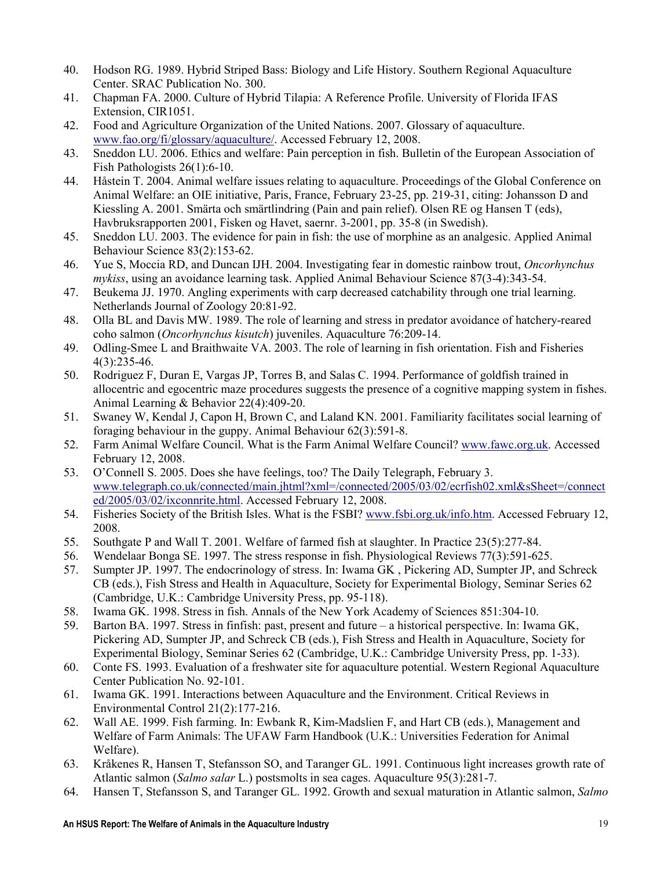- 40. Hodson RG. 1989. Hybrid Striped Bass: Biology and Life History. Southern Regional Aquaculture Center. SRAC Publication No. 300.
- 41. Chapman FA. 2000. Culture of Hybrid Tilapia: A Reference Profile. University of Florida IFAS Extension, CIR1051.
- 42. Food and Agriculture Organization of the United Nations. 2007. Glossary of aquaculture. www.fao.org/fi/glossary/aquaculture/. Accessed February 12, 2008.
- 43. Sneddon LU. 2006. Ethics and welfare: Pain perception in fish. Bulletin of the European Association of Fish Pathologists 26(1):6-10.
- 44. Håstein T. 2004. Animal welfare issues relating to aquaculture. Proceedings of the Global Conference on Animal Welfare: an OIE initiative, Paris, France, February 23-25, pp. 219-31, citing: Johansson D and Kiessling A. 2001. Smärta och smärtlindring (Pain and pain relief). Olsen RE og Hansen T (eds), Havbruksrapporten 2001, Fisken og Havet, saernr. 3-2001, pp. 35-8 (in Swedish).
- 45. Sneddon LU. 2003. The evidence for pain in fish: the use of morphine as an analgesic. Applied Animal Behaviour Science 83(2):153-62.
- 46. Yue S, Moccia RD, and Duncan IJH. 2004. Investigating fear in domestic rainbow trout, Oncorhynchus mykiss, using an avoidance learning task. Applied Animal Behaviour Science 87(3-4):343-54.
- 47. Beukema JJ. 1970. Angling experiments with carp decreased catchability through one trial learning. Netherlands Journal of Zoology 20:81-92.
- 48. Olla BL and Davis MW. 1989. The role of learning and stress in predator avoidance of hatchery-reared coho salmon (Oncorhynchus kisutch) juveniles. Aquaculture 76:209-14.
- 49. Odling-Smee L and Braithwaite VA. 2003. The role of learning in fish orientation. Fish and Fisheries 4(3):235-46.
- 50. Rodriguez F, Duran E, Vargas JP, Torres B, and Salas C. 1994. Performance of goldfish trained in allocentric and egocentric maze procedures suggests the presence of a cognitive mapping system in fishes. Animal Learning & Behavior 22(4):409-20.
- 51. Swaney W, Kendal J, Capon H, Brown C, and Laland KN. 2001. Familiarity facilitates social learning of foraging behaviour in the guppy. Animal Behaviour 62(3):591-8.
- 52. Farm Animal Welfare Council. What is the Farm Animal Welfare Council? www.fawc.org.uk. Accessed February 12, 2008.
- 53. O'Connell S. 2005. Does she have feelings, too? The Daily Telegraph, February 3. www.telegraph.co.uk/connected/main.jhtml?xml=/connected/2005/03/02/ecrfish02.xml&sSheet=/connect ed/2005/03/02/ixconnrite.html. Accessed February 12, 2008.
- 54. Fisheries Society of the British Isles. What is the FSBI? www.fsbi.org.uk/info.htm. Accessed February 12, 2008.
- 55. Southgate P and Wall T. 2001. Welfare of farmed fish at slaughter. In Practice 23(5):277-84.
- 56. Wendelaar Bonga SE. 1997. The stress response in fish. Physiological Reviews 77(3):591-625.
- 57. Sumpter JP. 1997. The endocrinology of stress. In: Iwama GK , Pickering AD, Sumpter JP, and Schreck CB (eds.), Fish Stress and Health in Aquaculture, Society for Experimental Biology, Seminar Series 62 (Cambridge, U.K.: Cambridge University Press, pp. 95-118).
- 58. Iwama GK. 1998. Stress in fish. Annals of the New York Academy of Sciences 851:304-10.
- 59. Barton BA. 1997. Stress in finfish: past, present and future a historical perspective. In: Iwama GK, Pickering AD, Sumpter JP, and Schreck CB (eds.), Fish Stress and Health in Aquaculture, Society for Experimental Biology, Seminar Series 62 (Cambridge, U.K.: Cambridge University Press, pp. 1-33).
- 60. Conte FS. 1993. Evaluation of a freshwater site for aquaculture potential. Western Regional Aquaculture Center Publication No. 92-101.
- 61. Iwama GK. 1991. Interactions between Aquaculture and the Environment. Critical Reviews in Environmental Control 21(2):177-216.
- 62. Wall AE. 1999. Fish farming. In: Ewbank R, Kim-Madslien F, and Hart CB (eds.), Management and Welfare of Farm Animals: The UFAW Farm Handbook (U.K.: Universities Federation for Animal Welfare).
- 63. Kråkenes R, Hansen T, Stefansson SO, and Taranger GL. 1991. Continuous light increases growth rate of Atlantic salmon (Salmo salar L.) postsmolts in sea cages. Aquaculture 95(3):281-7.
- 64. Hansen T, Stefansson S, and Taranger GL. 1992. Growth and sexual maturation in Atlantic salmon, Salmo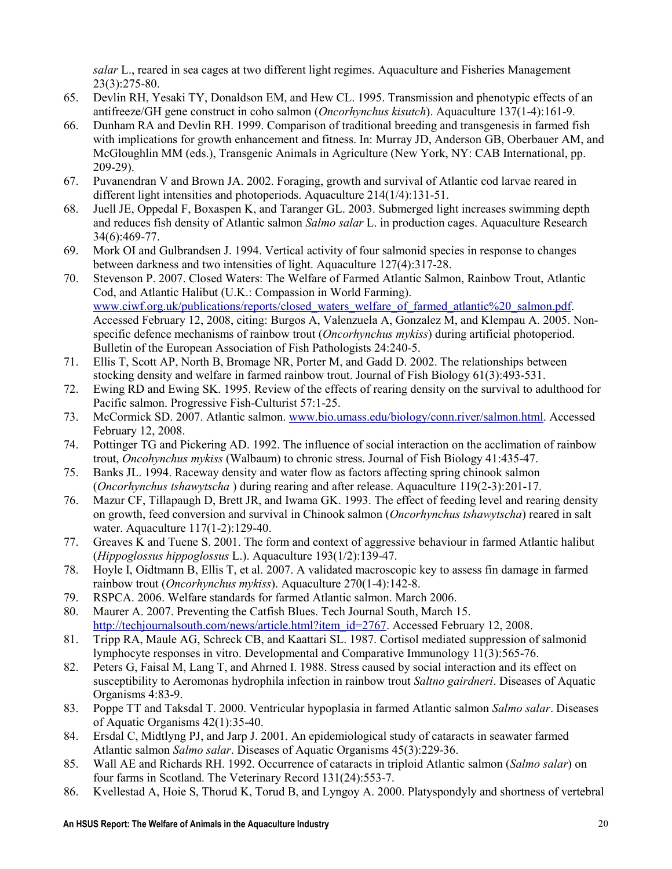salar L., reared in sea cages at two different light regimes. Aquaculture and Fisheries Management 23(3):275-80.

- 65. Devlin RH, Yesaki TY, Donaldson EM, and Hew CL. 1995. Transmission and phenotypic effects of an antifreeze/GH gene construct in coho salmon (Oncorhynchus kisutch). Aquaculture 137(1-4):161-9.
- 66. Dunham RA and Devlin RH. 1999. Comparison of traditional breeding and transgenesis in farmed fish with implications for growth enhancement and fitness. In: Murray JD, Anderson GB, Oberbauer AM, and McGloughlin MM (eds.), Transgenic Animals in Agriculture (New York, NY: CAB International, pp. 209-29).
- 67. Puvanendran V and Brown JA. 2002. Foraging, growth and survival of Atlantic cod larvae reared in different light intensities and photoperiods. Aquaculture 214(1/4):131-51.
- 68. Juell JE, Oppedal F, Boxaspen K, and Taranger GL. 2003. Submerged light increases swimming depth and reduces fish density of Atlantic salmon Salmo salar L. in production cages. Aquaculture Research 34(6):469-77.
- 69. Mork OI and Gulbrandsen J. 1994. Vertical activity of four salmonid species in response to changes between darkness and two intensities of light. Aquaculture 127(4):317-28.
- 70. Stevenson P. 2007. Closed Waters: The Welfare of Farmed Atlantic Salmon, Rainbow Trout, Atlantic Cod, and Atlantic Halibut (U.K.: Compassion in World Farming). www.ciwf.org.uk/publications/reports/closed\_waters\_welfare\_of\_farmed\_atlantic%20\_salmon.pdf. Accessed February 12, 2008, citing: Burgos A, Valenzuela A, Gonzalez M, and Klempau A. 2005. Nonspecific defence mechanisms of rainbow trout *(Oncorhynchus mykiss*) during artificial photoperiod. Bulletin of the European Association of Fish Pathologists 24:240-5.
- 71. Ellis T, Scott AP, North B, Bromage NR, Porter M, and Gadd D. 2002. The relationships between stocking density and welfare in farmed rainbow trout. Journal of Fish Biology 61(3):493-531.
- 72. Ewing RD and Ewing SK. 1995. Review of the effects of rearing density on the survival to adulthood for Pacific salmon. Progressive Fish-Culturist 57:1-25.
- 73. McCormick SD. 2007. Atlantic salmon. www.bio.umass.edu/biology/conn.river/salmon.html. Accessed February 12, 2008.
- 74. Pottinger TG and Pickering AD. 1992. The influence of social interaction on the acclimation of rainbow trout, Oncohynchus mykiss (Walbaum) to chronic stress. Journal of Fish Biology 41:435-47.
- 75. Banks JL. 1994. Raceway density and water flow as factors affecting spring chinook salmon (Oncorhynchus tshawytscha ) during rearing and after release. Aquaculture 119(2-3):201-17.
- 76. Mazur CF, Tillapaugh D, Brett JR, and Iwama GK. 1993. The effect of feeding level and rearing density on growth, feed conversion and survival in Chinook salmon (Oncorhynchus tshawytscha) reared in salt water. Aquaculture 117(1-2):129-40.
- 77. Greaves K and Tuene S. 2001. The form and context of aggressive behaviour in farmed Atlantic halibut (Hippoglossus hippoglossus L.). Aquaculture 193(1/2):139-47.
- 78. Hoyle I, Oidtmann B, Ellis T, et al. 2007. A validated macroscopic key to assess fin damage in farmed rainbow trout (Oncorhynchus mykiss). Aquaculture 270(1-4):142-8.
- 79. RSPCA. 2006. Welfare standards for farmed Atlantic salmon. March 2006.
- 80. Maurer A. 2007. Preventing the Catfish Blues. Tech Journal South, March 15. http://techjournalsouth.com/news/article.html?item\_id=2767. Accessed February 12, 2008.
- 81. Tripp RA, Maule AG, Schreck CB, and Kaattari SL. 1987. Cortisol mediated suppression of salmonid lymphocyte responses in vitro. Developmental and Comparative Immunology 11(3):565-76.
- 82. Peters G, Faisal M, Lang T, and Ahrned I. 1988. Stress caused by social interaction and its effect on susceptibility to Aeromonas hydrophila infection in rainbow trout Saltno gairdneri. Diseases of Aquatic Organisms 4:83-9.
- 83. Poppe TT and Taksdal T. 2000. Ventricular hypoplasia in farmed Atlantic salmon Salmo salar. Diseases of Aquatic Organisms 42(1):35-40.
- 84. Ersdal C, Midtlyng PJ, and Jarp J. 2001. An epidemiological study of cataracts in seawater farmed Atlantic salmon Salmo salar. Diseases of Aquatic Organisms 45(3):229-36.
- 85. Wall AE and Richards RH. 1992. Occurrence of cataracts in triploid Atlantic salmon (Salmo salar) on four farms in Scotland. The Veterinary Record 131(24):553-7.
- 86. Kvellestad A, Hoie S, Thorud K, Torud B, and Lyngoy A. 2000. Platyspondyly and shortness of vertebral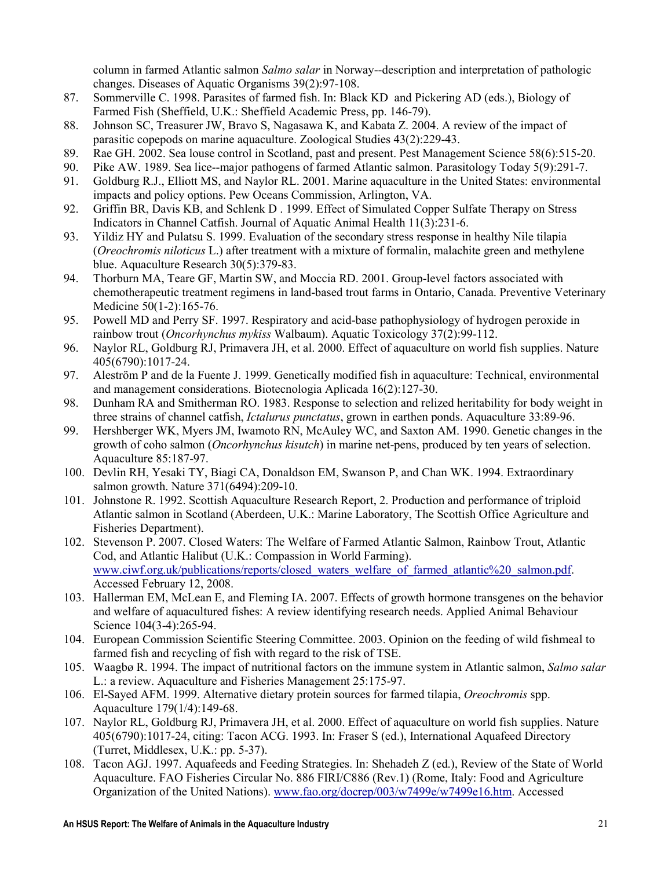column in farmed Atlantic salmon *Salmo salar* in Norway--description and interpretation of pathologic changes. Diseases of Aquatic Organisms 39(2):97-108.

- 87. Sommerville C. 1998. Parasites of farmed fish. In: Black KD and Pickering AD (eds.), Biology of Farmed Fish (Sheffield, U.K.: Sheffield Academic Press, pp. 146-79).
- 88. Johnson SC, Treasurer JW, Bravo S, Nagasawa K, and Kabata Z. 2004. A review of the impact of parasitic copepods on marine aquaculture. Zoological Studies 43(2):229-43.
- 89. Rae GH. 2002. Sea louse control in Scotland, past and present. Pest Management Science 58(6):515-20.
- 90. Pike AW. 1989. Sea lice--major pathogens of farmed Atlantic salmon. Parasitology Today 5(9):291-7.
- 91. Goldburg R.J., Elliott MS, and Naylor RL. 2001. Marine aquaculture in the United States: environmental impacts and policy options. Pew Oceans Commission, Arlington, VA.
- 92. Griffin BR, Davis KB, and Schlenk D . 1999. Effect of Simulated Copper Sulfate Therapy on Stress Indicators in Channel Catfish. Journal of Aquatic Animal Health 11(3):231-6.
- 93. Yildiz HY and Pulatsu S. 1999. Evaluation of the secondary stress response in healthy Nile tilapia (Oreochromis niloticus L.) after treatment with a mixture of formalin, malachite green and methylene blue. Aquaculture Research 30(5):379-83.
- 94. Thorburn MA, Teare GF, Martin SW, and Moccia RD. 2001. Group-level factors associated with chemotherapeutic treatment regimens in land-based trout farms in Ontario, Canada. Preventive Veterinary Medicine 50(1-2):165-76.
- 95. Powell MD and Perry SF. 1997. Respiratory and acid-base pathophysiology of hydrogen peroxide in rainbow trout (Oncorhynchus mykiss Walbaum). Aquatic Toxicology 37(2):99-112.
- 96. Naylor RL, Goldburg RJ, Primavera JH, et al. 2000. Effect of aquaculture on world fish supplies. Nature 405(6790):1017-24.
- 97. Aleström P and de la Fuente J. 1999. Genetically modified fish in aquaculture: Technical, environmental and management considerations. Biotecnologia Aplicada 16(2):127-30.
- 98. Dunham RA and Smitherman RO. 1983. Response to selection and relized heritability for body weight in three strains of channel catfish, Ictalurus punctatus, grown in earthen ponds. Aquaculture 33:89-96.
- 99. Hershberger WK, Myers JM, Iwamoto RN, McAuley WC, and Saxton AM. 1990. Genetic changes in the growth of coho salmon (*Oncorhynchus kisutch*) in marine net-pens, produced by ten years of selection. Aquaculture 85:187-97.
- 100. Devlin RH, Yesaki TY, Biagi CA, Donaldson EM, Swanson P, and Chan WK. 1994. Extraordinary salmon growth. Nature 371(6494):209-10.
- 101. Johnstone R. 1992. Scottish Aquaculture Research Report, 2. Production and performance of triploid Atlantic salmon in Scotland (Aberdeen, U.K.: Marine Laboratory, The Scottish Office Agriculture and Fisheries Department).
- 102. Stevenson P. 2007. Closed Waters: The Welfare of Farmed Atlantic Salmon, Rainbow Trout, Atlantic Cod, and Atlantic Halibut (U.K.: Compassion in World Farming). www.ciwf.org.uk/publications/reports/closed\_waters\_welfare\_of\_farmed\_atlantic%20\_salmon.pdf. Accessed February 12, 2008.
- 103. Hallerman EM, McLean E, and Fleming IA. 2007. Effects of growth hormone transgenes on the behavior and welfare of aquacultured fishes: A review identifying research needs. Applied Animal Behaviour Science 104(3-4):265-94.
- 104. European Commission Scientific Steering Committee. 2003. Opinion on the feeding of wild fishmeal to farmed fish and recycling of fish with regard to the risk of TSE.
- 105. Waagbø R. 1994. The impact of nutritional factors on the immune system in Atlantic salmon, Salmo salar L.: a review. Aquaculture and Fisheries Management 25:175-97.
- 106. El-Sayed AFM. 1999. Alternative dietary protein sources for farmed tilapia, Oreochromis spp. Aquaculture 179(1/4):149-68.
- 107. Naylor RL, Goldburg RJ, Primavera JH, et al. 2000. Effect of aquaculture on world fish supplies. Nature 405(6790):1017-24, citing: Tacon ACG. 1993. In: Fraser S (ed.), International Aquafeed Directory (Turret, Middlesex, U.K.: pp. 5-37).
- 108. Tacon AGJ. 1997. Aquafeeds and Feeding Strategies. In: Shehadeh Z (ed.), Review of the State of World Aquaculture. FAO Fisheries Circular No. 886 FIRI/C886 (Rev.1) (Rome, Italy: Food and Agriculture Organization of the United Nations). www.fao.org/docrep/003/w7499e/w7499e16.htm. Accessed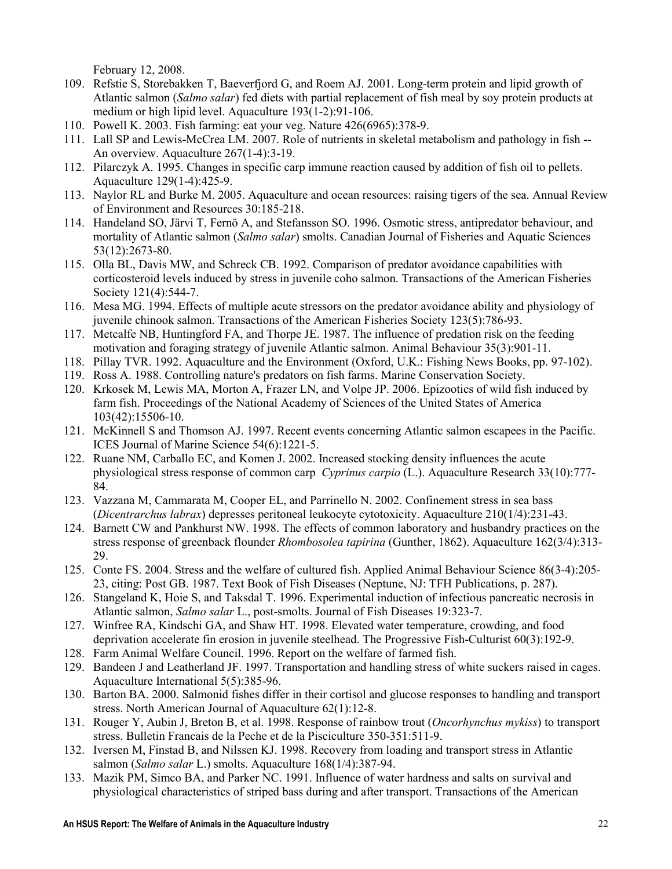February 12, 2008.

- 109. Refstie S, Storebakken T, Baeverfjord G, and Roem AJ. 2001. Long-term protein and lipid growth of Atlantic salmon *(Salmo salar)* fed diets with partial replacement of fish meal by soy protein products at medium or high lipid level. Aquaculture 193(1-2):91-106.
- 110. Powell K. 2003. Fish farming: eat your veg. Nature 426(6965):378-9.
- 111. Lall SP and Lewis-McCrea LM. 2007. Role of nutrients in skeletal metabolism and pathology in fish -- An overview. Aquaculture 267(1-4):3-19.
- 112. Pilarczyk A. 1995. Changes in specific carp immune reaction caused by addition of fish oil to pellets. Aquaculture 129(1-4):425-9.
- 113. Naylor RL and Burke M. 2005. Aquaculture and ocean resources: raising tigers of the sea. Annual Review of Environment and Resources 30:185-218.
- 114. Handeland SO, Järvi T, Fernö A, and Stefansson SO. 1996. Osmotic stress, antipredator behaviour, and mortality of Atlantic salmon (Salmo salar) smolts. Canadian Journal of Fisheries and Aquatic Sciences 53(12):2673-80.
- 115. Olla BL, Davis MW, and Schreck CB. 1992. Comparison of predator avoidance capabilities with corticosteroid levels induced by stress in juvenile coho salmon. Transactions of the American Fisheries Society 121(4):544-7.
- 116. Mesa MG. 1994. Effects of multiple acute stressors on the predator avoidance ability and physiology of juvenile chinook salmon. Transactions of the American Fisheries Society 123(5):786-93.
- 117. Metcalfe NB, Huntingford FA, and Thorpe JE. 1987. The influence of predation risk on the feeding motivation and foraging strategy of juvenile Atlantic salmon. Animal Behaviour 35(3):901-11.
- 118. Pillay TVR. 1992. Aquaculture and the Environment (Oxford, U.K.: Fishing News Books, pp. 97-102).
- 119. Ross A. 1988. Controlling nature's predators on fish farms. Marine Conservation Society.
- 120. Krkosek M, Lewis MA, Morton A, Frazer LN, and Volpe JP. 2006. Epizootics of wild fish induced by farm fish. Proceedings of the National Academy of Sciences of the United States of America 103(42):15506-10.
- 121. McKinnell S and Thomson AJ. 1997. Recent events concerning Atlantic salmon escapees in the Pacific. ICES Journal of Marine Science 54(6):1221-5.
- 122. Ruane NM, Carballo EC, and Komen J. 2002. Increased stocking density influences the acute physiological stress response of common carp Cyprinus carpio (L.). Aquaculture Research 33(10):777- 84.
- 123. Vazzana M, Cammarata M, Cooper EL, and Parrinello N. 2002. Confinement stress in sea bass (Dicentrarchus labrax) depresses peritoneal leukocyte cytotoxicity. Aquaculture 210(1/4):231-43.
- 124. Barnett CW and Pankhurst NW. 1998. The effects of common laboratory and husbandry practices on the stress response of greenback flounder *Rhombosolea tapirina* (Gunther, 1862). Aquaculture 162(3/4):313-29.
- 125. Conte FS. 2004. Stress and the welfare of cultured fish. Applied Animal Behaviour Science 86(3-4):205- 23, citing: Post GB. 1987. Text Book of Fish Diseases (Neptune, NJ: TFH Publications, p. 287).
- 126. Stangeland K, Hoie S, and Taksdal T. 1996. Experimental induction of infectious pancreatic necrosis in Atlantic salmon, Salmo salar L., post-smolts. Journal of Fish Diseases 19:323-7.
- 127. Winfree RA, Kindschi GA, and Shaw HT. 1998. Elevated water temperature, crowding, and food deprivation accelerate fin erosion in juvenile steelhead. The Progressive Fish-Culturist 60(3):192-9.
- 128. Farm Animal Welfare Council. 1996. Report on the welfare of farmed fish.
- 129. Bandeen J and Leatherland JF. 1997. Transportation and handling stress of white suckers raised in cages. Aquaculture International 5(5):385-96.
- 130. Barton BA. 2000. Salmonid fishes differ in their cortisol and glucose responses to handling and transport stress. North American Journal of Aquaculture 62(1):12-8.
- 131. Rouger Y, Aubin J, Breton B, et al. 1998. Response of rainbow trout (Oncorhynchus mykiss) to transport stress. Bulletin Francais de la Peche et de la Pisciculture 350-351:511-9.
- 132. Iversen M, Finstad B, and Nilssen KJ. 1998. Recovery from loading and transport stress in Atlantic salmon (Salmo salar L.) smolts. Aquaculture 168(1/4):387-94.
- 133. Mazik PM, Simco BA, and Parker NC. 1991. Influence of water hardness and salts on survival and physiological characteristics of striped bass during and after transport. Transactions of the American